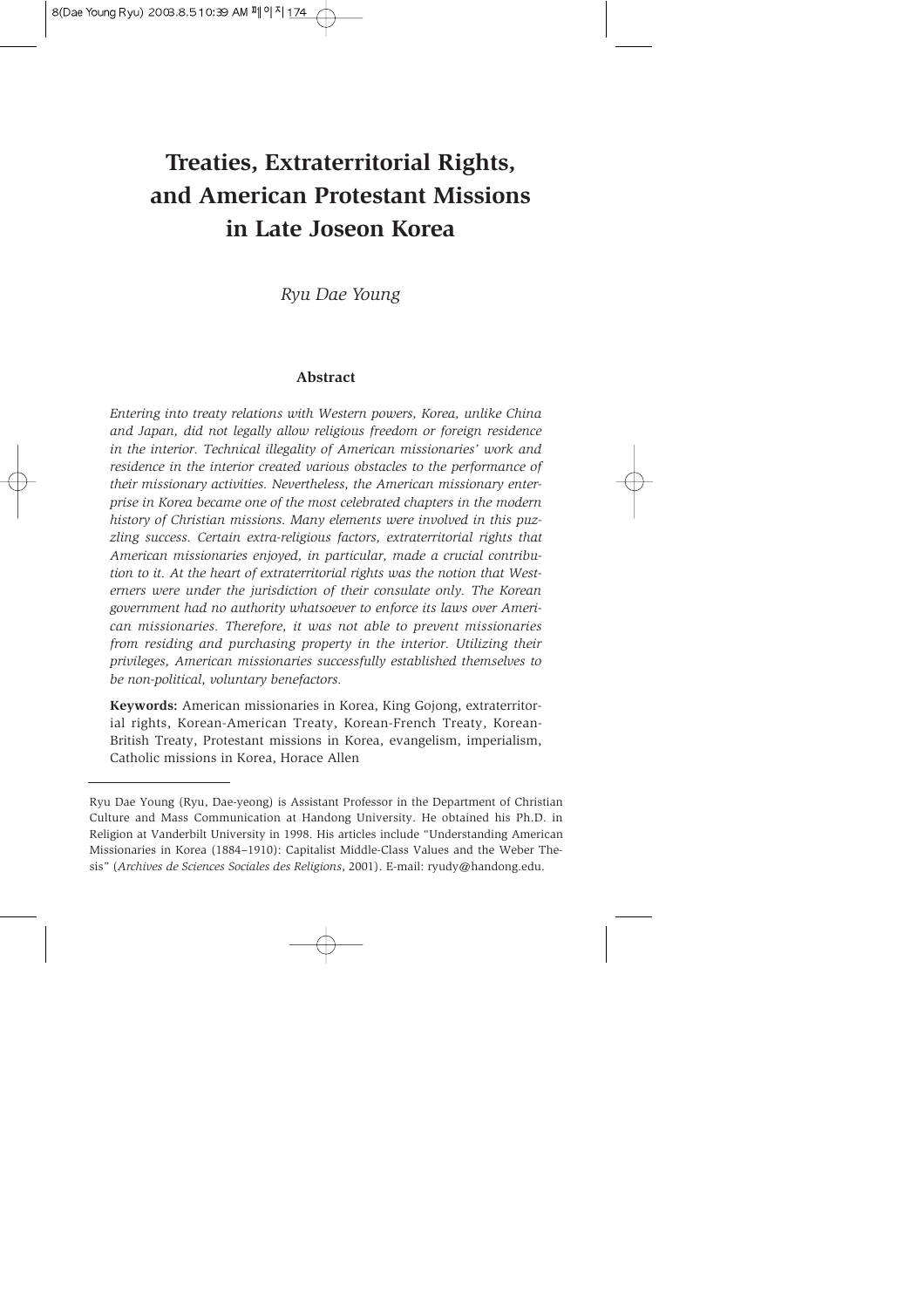# **Treaties, Extraterritorial Rights, and American Protestant Missions in Late Joseon Korea**

*Ryu Dae Young*

## **Abstract**

*Entering into treaty relations with Western powers, Korea, unlike China and Japan, did not legally allow religious freedom or foreign residence in the interior. Technical illegality of American missionaries' work and residence in the interior created various obstacles to the performance of their missionary activities. Nevertheless, the American missionary enterprise in Korea became one of the most celebrated chapters in the modern history of Christian missions. Many elements were involved in this puzzling success. Certain extra-religious factors, extraterritorial rights that American missionaries enjoyed, in particular, made a crucial contribution to it. At the heart of extraterritorial rights was the notion that Westerners were under the jurisdiction of their consulate only. The Korean government had no authority whatsoever to enforce its laws over American missionaries. Therefore, it was not able to prevent missionaries from residing and purchasing property in the interior. Utilizing their privileges, American missionaries successfully established themselves to be non-political, voluntary benefactors.*

**Keywords:** American missionaries in Korea, King Gojong, extraterritorial rights, Korean-American Treaty, Korean-French Treaty, Korean-British Treaty, Protestant missions in Korea, evangelism, imperialism, Catholic missions in Korea, Horace Allen

Ryu Dae Young (Ryu, Dae-yeong) is Assistant Professor in the Department of Christian Culture and Mass Communication at Handong University. He obtained his Ph.D. in Religion at Vanderbilt University in 1998. His articles include "Understanding American Missionaries in Korea (1884–1910): Capitalist Middle-Class Values and the Weber Thesis" (*Archives de Sciences Sociales des Religions*, 2001). E-mail: ryudy@handong.edu.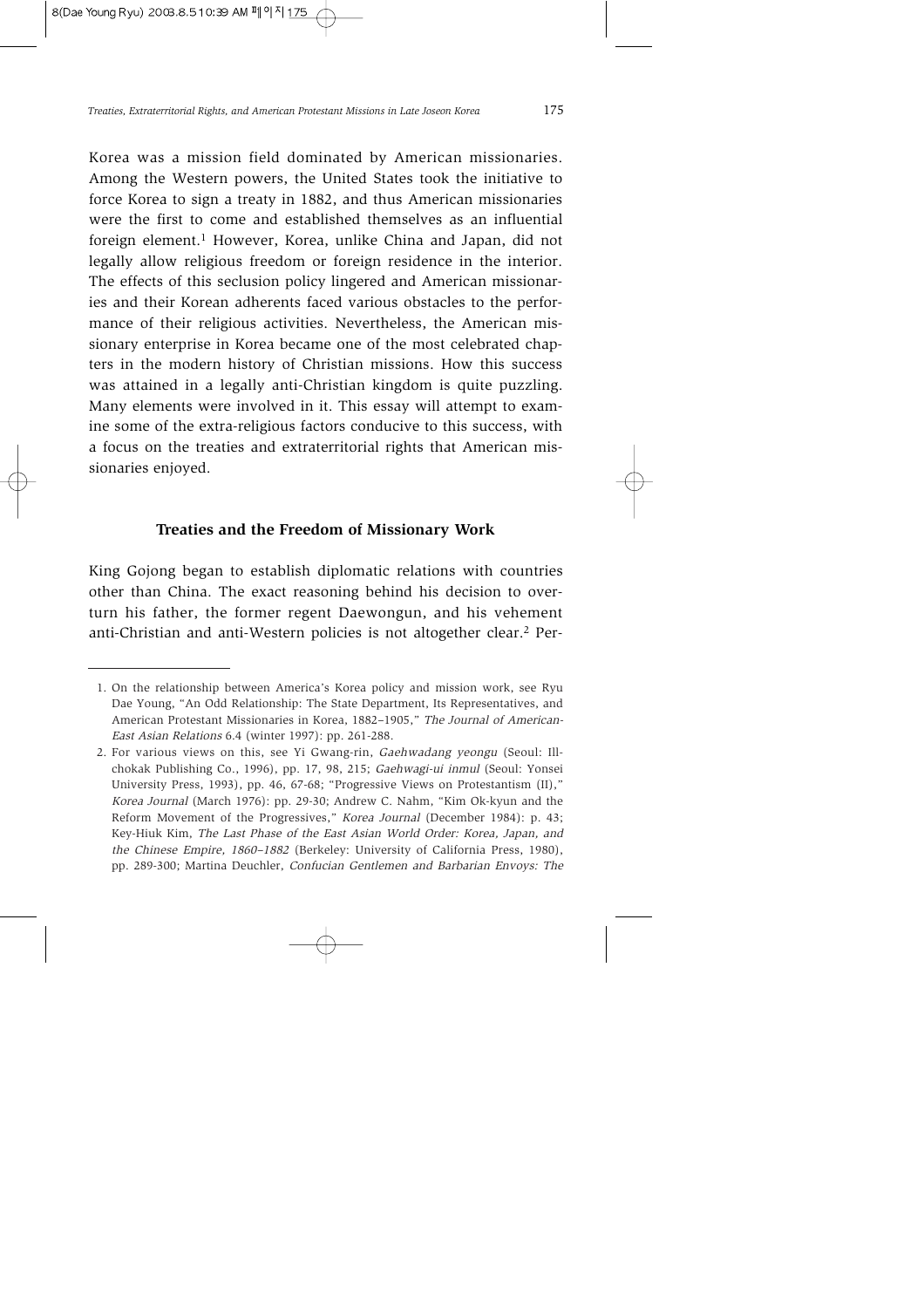Korea was a mission field dominated by American missionaries. Among the Western powers, the United States took the initiative to force Korea to sign a treaty in 1882, and thus American missionaries were the first to come and established themselves as an influential foreign element.<sup>1</sup> However, Korea, unlike China and Japan, did not legally allow religious freedom or foreign residence in the interior. The effects of this seclusion policy lingered and American missionaries and their Korean adherents faced various obstacles to the performance of their religious activities. Nevertheless, the American missionary enterprise in Korea became one of the most celebrated chapters in the modern history of Christian missions. How this success was attained in a legally anti-Christian kingdom is quite puzzling. Many elements were involved in it. This essay will attempt to examine some of the extra-religious factors conducive to this success, with a focus on the treaties and extraterritorial rights that American missionaries enjoyed.

## **Treaties and the Freedom of Missionary Work**

King Gojong began to establish diplomatic relations with countries other than China. The exact reasoning behind his decision to overturn his father, the former regent Daewongun, and his vehement anti-Christian and anti-Western policies is not altogether clear.<sup>2</sup> Per-

<sup>1.</sup> On the relationship between America's Korea policy and mission work, see Ryu Dae Young, "An Odd Relationship: The State Department, Its Representatives, and American Protestant Missionaries in Korea, 1882-1905," The Journal of American-East Asian Relations 6.4 (winter 1997): pp. 261-288.

<sup>2.</sup> For various views on this, see Yi Gwang-rin, Gaehwadang yeongu (Seoul: Illchokak Publishing Co., 1996), pp. 17, 98, 215; Gaehwagi-ui inmul (Seoul: Yonsei University Press, 1993), pp. 46, 67-68; "Progressive Views on Protestantism (II)," Korea Journal (March 1976): pp. 29-30; Andrew C. Nahm, "Kim Ok-kyun and the Reform Movement of the Progressives," Korea Journal (December 1984): p. 43; Key-Hiuk Kim, The Last Phase of the East Asian World Order: Korea, Japan, and the Chinese Empire, 1860–1882 (Berkeley: University of California Press, 1980), pp. 289-300; Martina Deuchler, Confucian Gentlemen and Barbarian Envoys: The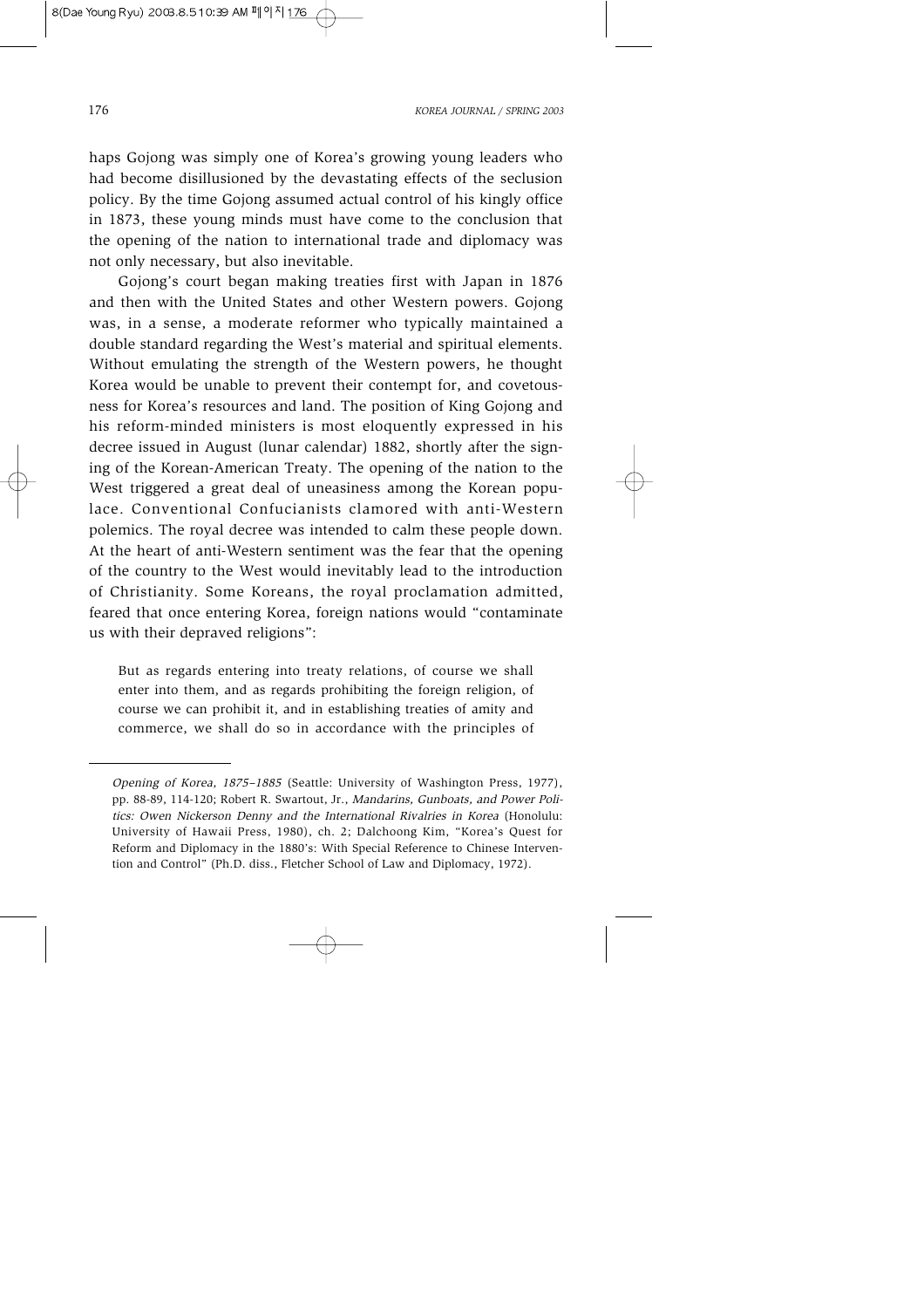haps Gojong was simply one of Korea's growing young leaders who had become disillusioned by the devastating effects of the seclusion policy. By the time Gojong assumed actual control of his kingly office in 1873, these young minds must have come to the conclusion that the opening of the nation to international trade and diplomacy was not only necessary, but also inevitable.

Gojong's court began making treaties first with Japan in 1876 and then with the United States and other Western powers. Gojong was, in a sense, a moderate reformer who typically maintained a double standard regarding the West's material and spiritual elements. Without emulating the strength of the Western powers, he thought Korea would be unable to prevent their contempt for, and covetousness for Korea's resources and land. The position of King Gojong and his reform-minded ministers is most eloquently expressed in his decree issued in August (lunar calendar) 1882, shortly after the signing of the Korean-American Treaty. The opening of the nation to the West triggered a great deal of uneasiness among the Korean populace. Conventional Confucianists clamored with anti-Western polemics. The royal decree was intended to calm these people down. At the heart of anti-Western sentiment was the fear that the opening of the country to the West would inevitably lead to the introduction of Christianity. Some Koreans, the royal proclamation admitted, feared that once entering Korea, foreign nations would "contaminate us with their depraved religions":

But as regards entering into treaty relations, of course we shall enter into them, and as regards prohibiting the foreign religion, of course we can prohibit it, and in establishing treaties of amity and commerce, we shall do so in accordance with the principles of

Opening of Korea, 1875–1885 (Seattle: University of Washington Press, 1977), pp. 88-89, 114-120; Robert R. Swartout, Jr., Mandarins, Gunboats, and Power Politics: Owen Nickerson Denny and the International Rivalries in Korea (Honolulu: University of Hawaii Press, 1980), ch. 2; Dalchoong Kim, "Korea's Quest for Reform and Diplomacy in the 1880's: With Special Reference to Chinese Intervention and Control" (Ph.D. diss., Fletcher School of Law and Diplomacy, 1972).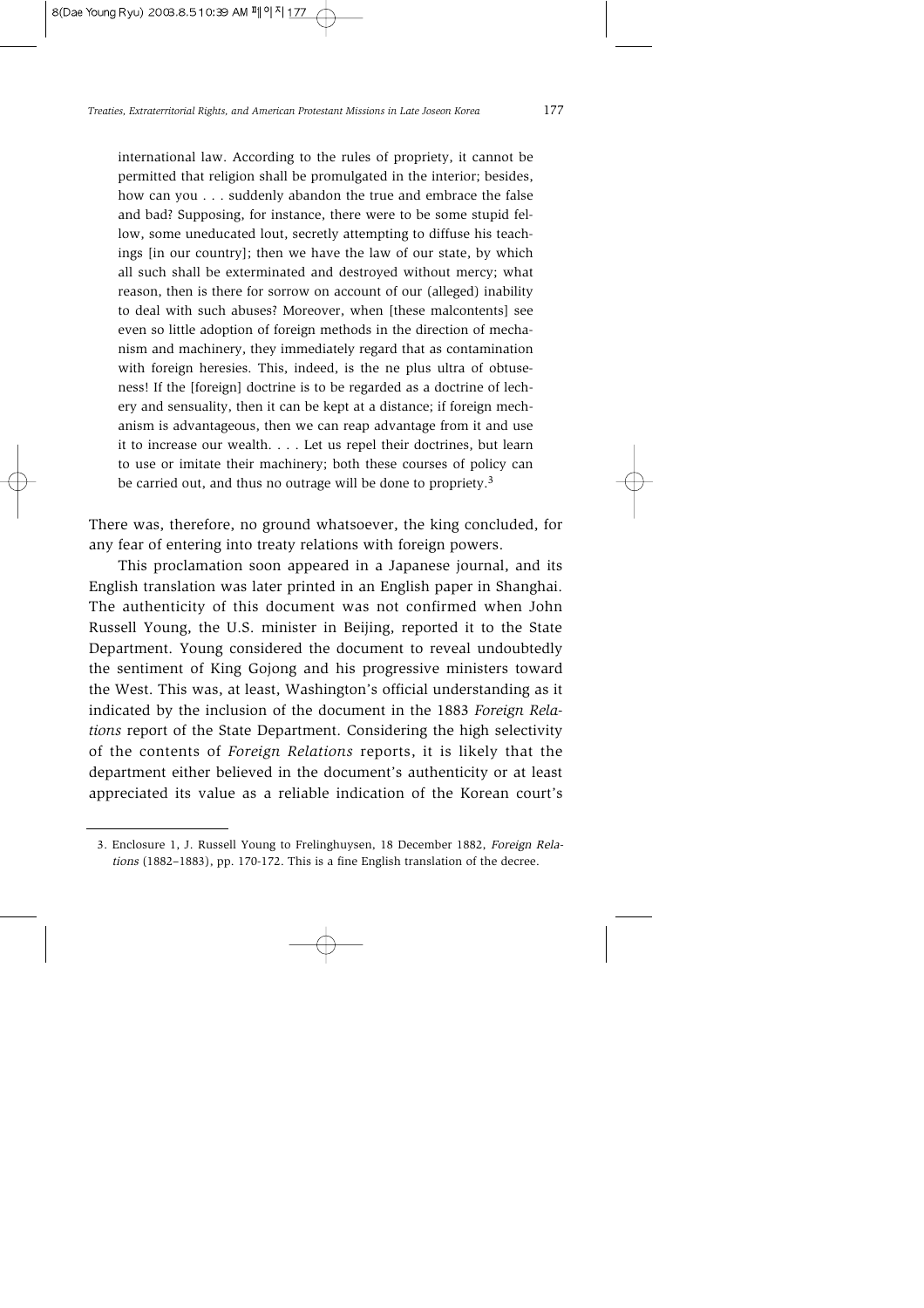international law. According to the rules of propriety, it cannot be permitted that religion shall be promulgated in the interior; besides, how can you . . . suddenly abandon the true and embrace the false and bad? Supposing, for instance, there were to be some stupid fellow, some uneducated lout, secretly attempting to diffuse his teachings [in our country]; then we have the law of our state, by which all such shall be exterminated and destroyed without mercy; what reason, then is there for sorrow on account of our (alleged) inability to deal with such abuses? Moreover, when [these malcontents] see even so little adoption of foreign methods in the direction of mechanism and machinery, they immediately regard that as contamination with foreign heresies. This, indeed, is the ne plus ultra of obtuseness! If the [foreign] doctrine is to be regarded as a doctrine of lechery and sensuality, then it can be kept at a distance; if foreign mechanism is advantageous, then we can reap advantage from it and use it to increase our wealth. . . . Let us repel their doctrines, but learn to use or imitate their machinery; both these courses of policy can be carried out, and thus no outrage will be done to propriety.<sup>3</sup>

There was, therefore, no ground whatsoever, the king concluded, for any fear of entering into treaty relations with foreign powers.

This proclamation soon appeared in a Japanese journal, and its English translation was later printed in an English paper in Shanghai. The authenticity of this document was not confirmed when John Russell Young, the U.S. minister in Beijing, reported it to the State Department. Young considered the document to reveal undoubtedly the sentiment of King Gojong and his progressive ministers toward the West. This was, at least, Washington's official understanding as it indicated by the inclusion of the document in the 1883 *Foreign Relations* report of the State Department. Considering the high selectivity of the contents of *Foreign Relations* reports, it is likely that the department either believed in the document's authenticity or at least appreciated its value as a reliable indication of the Korean court's

<sup>3.</sup> Enclosure 1, J. Russell Young to Frelinghuysen, 18 December 1882, Foreign Relations (1882–1883), pp. 170-172. This is a fine English translation of the decree.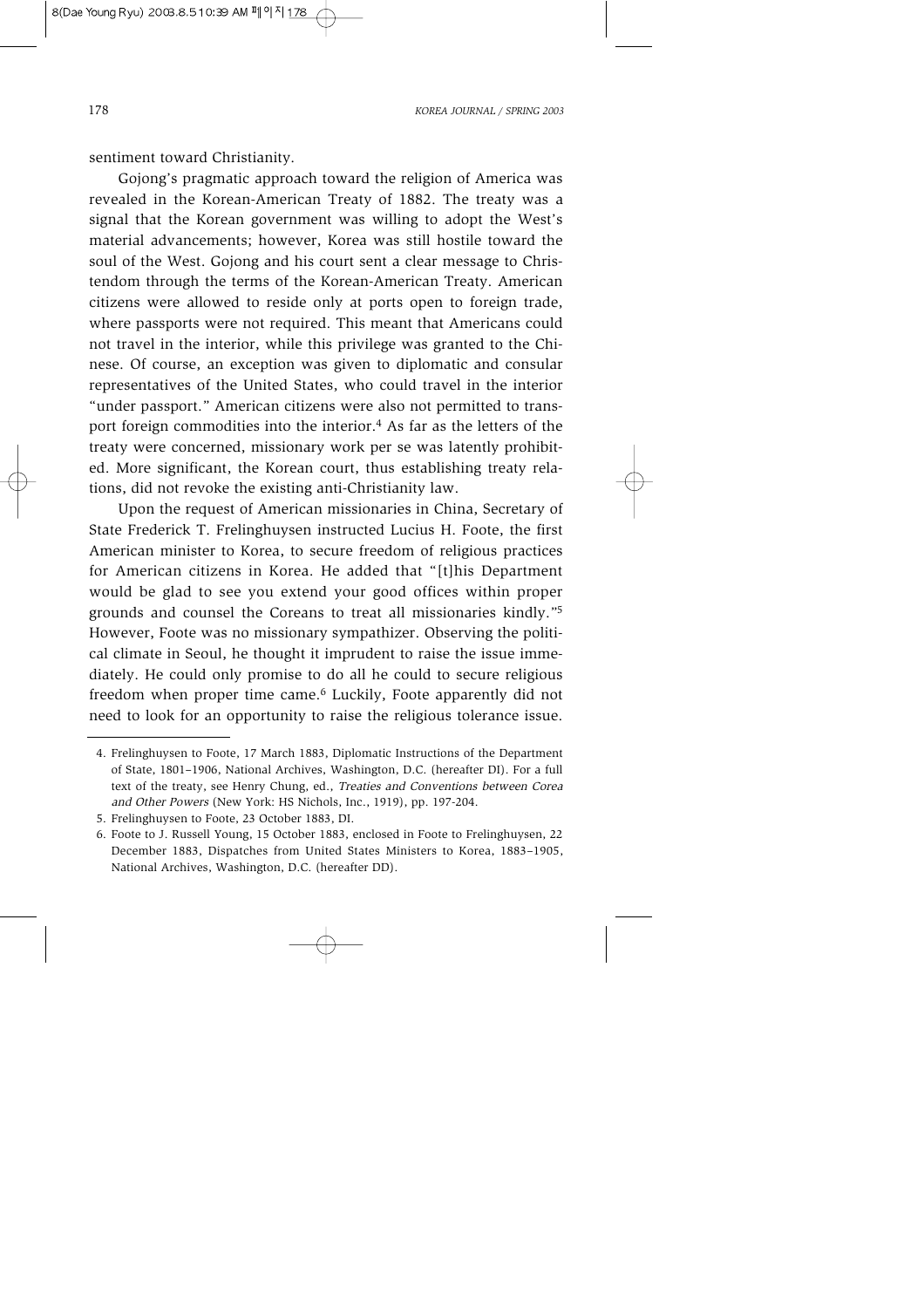sentiment toward Christianity.

Gojong's pragmatic approach toward the religion of America was revealed in the Korean-American Treaty of 1882. The treaty was a signal that the Korean government was willing to adopt the West's material advancements; however, Korea was still hostile toward the soul of the West. Gojong and his court sent a clear message to Christendom through the terms of the Korean-American Treaty. American citizens were allowed to reside only at ports open to foreign trade, where passports were not required. This meant that Americans could not travel in the interior, while this privilege was granted to the Chinese. Of course, an exception was given to diplomatic and consular representatives of the United States, who could travel in the interior "under passport." American citizens were also not permitted to transport foreign commodities into the interior.<sup>4</sup> As far as the letters of the treaty were concerned, missionary work per se was latently prohibited. More significant, the Korean court, thus establishing treaty relations, did not revoke the existing anti-Christianity law.

Upon the request of American missionaries in China, Secretary of State Frederick T. Frelinghuysen instructed Lucius H. Foote, the first American minister to Korea, to secure freedom of religious practices for American citizens in Korea. He added that "[t]his Department would be glad to see you extend your good offices within proper grounds and counsel the Coreans to treat all missionaries kindly."5 However, Foote was no missionary sympathizer. Observing the political climate in Seoul, he thought it imprudent to raise the issue immediately. He could only promise to do all he could to secure religious freedom when proper time came.<sup>6</sup> Luckily, Foote apparently did not need to look for an opportunity to raise the religious tolerance issue.

<sup>4.</sup> Frelinghuysen to Foote, 17 March 1883, Diplomatic Instructions of the Department of State, 1801–1906, National Archives, Washington, D.C. (hereafter DI). For a full text of the treaty, see Henry Chung, ed., Treaties and Conventions between Corea and Other Powers (New York: HS Nichols, Inc., 1919), pp. 197-204.

<sup>5.</sup> Frelinghuysen to Foote, 23 October 1883, DI.

<sup>6.</sup> Foote to J. Russell Young, 15 October 1883, enclosed in Foote to Frelinghuysen, 22 December 1883, Dispatches from United States Ministers to Korea, 1883–1905, National Archives, Washington, D.C. (hereafter DD).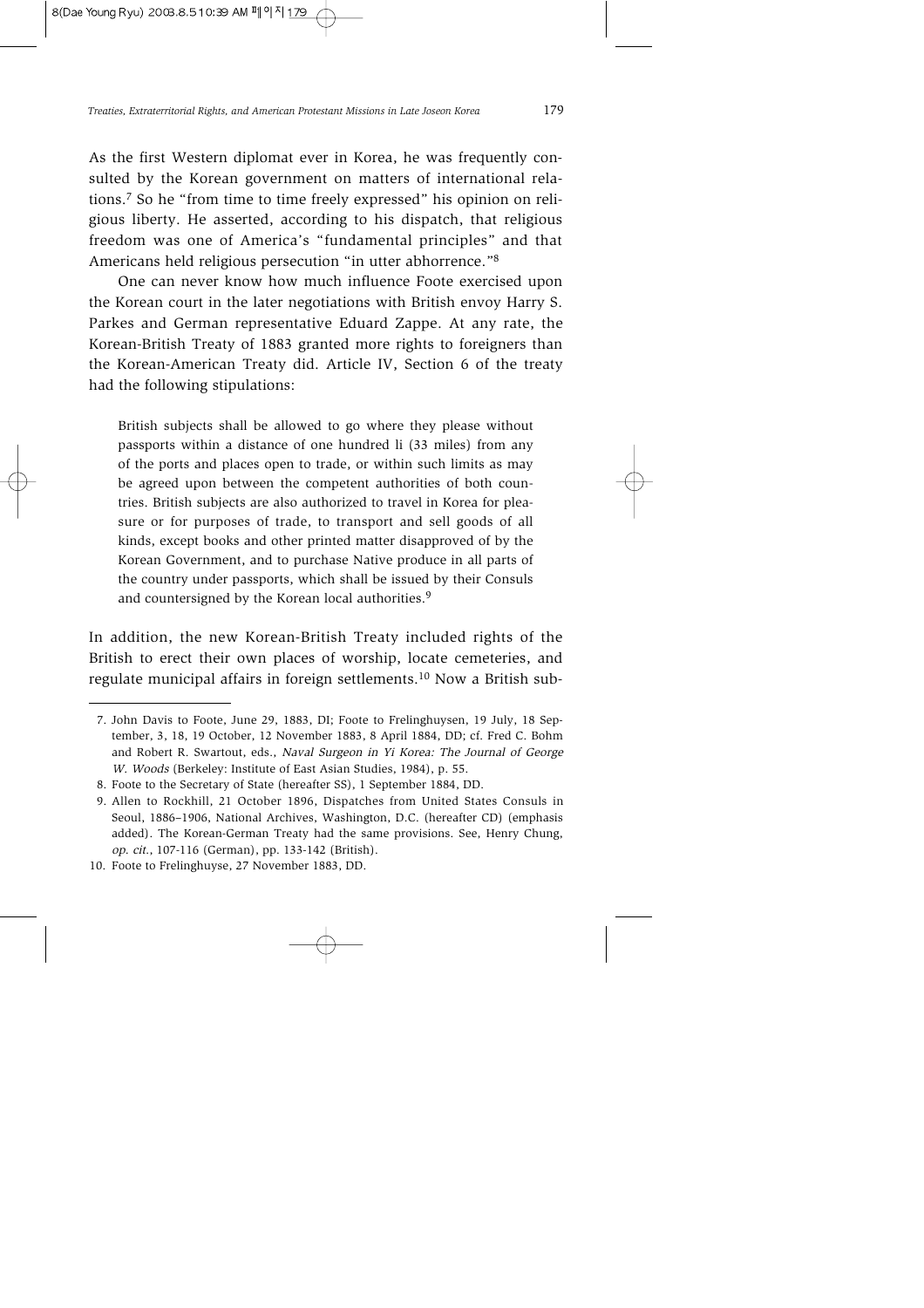As the first Western diplomat ever in Korea, he was frequently consulted by the Korean government on matters of international relations.7 So he "from time to time freely expressed" his opinion on religious liberty. He asserted, according to his dispatch, that religious freedom was one of America's "fundamental principles" and that Americans held religious persecution "in utter abhorrence."8

One can never know how much influence Foote exercised upon the Korean court in the later negotiations with British envoy Harry S. Parkes and German representative Eduard Zappe. At any rate, the Korean-British Treaty of 1883 granted more rights to foreigners than the Korean-American Treaty did. Article IV, Section 6 of the treaty had the following stipulations:

British subjects shall be allowed to go where they please without passports within a distance of one hundred li (33 miles) from any of the ports and places open to trade, or within such limits as may be agreed upon between the competent authorities of both countries. British subjects are also authorized to travel in Korea for pleasure or for purposes of trade, to transport and sell goods of all kinds, except books and other printed matter disapproved of by the Korean Government, and to purchase Native produce in all parts of the country under passports, which shall be issued by their Consuls and countersigned by the Korean local authorities.<sup>9</sup>

In addition, the new Korean-British Treaty included rights of the British to erect their own places of worship, locate cemeteries, and regulate municipal affairs in foreign settlements.<sup>10</sup> Now a British sub-

<sup>7.</sup> John Davis to Foote, June 29, 1883, DI; Foote to Frelinghuysen, 19 July, 18 September, 3, 18, 19 October, 12 November 1883, 8 April 1884, DD; cf. Fred C. Bohm and Robert R. Swartout, eds., Naval Surgeon in Yi Korea: The Journal of George W. Woods (Berkeley: Institute of East Asian Studies, 1984), p. 55.

<sup>8.</sup> Foote to the Secretary of State (hereafter SS), 1 September 1884, DD.

<sup>9.</sup> Allen to Rockhill, 21 October 1896, Dispatches from United States Consuls in Seoul, 1886–1906, National Archives, Washington, D.C. (hereafter CD) (emphasis added). The Korean-German Treaty had the same provisions. See, Henry Chung, op. cit., 107-116 (German), pp. 133-142 (British).

<sup>10.</sup> Foote to Frelinghuyse, 27 November 1883, DD.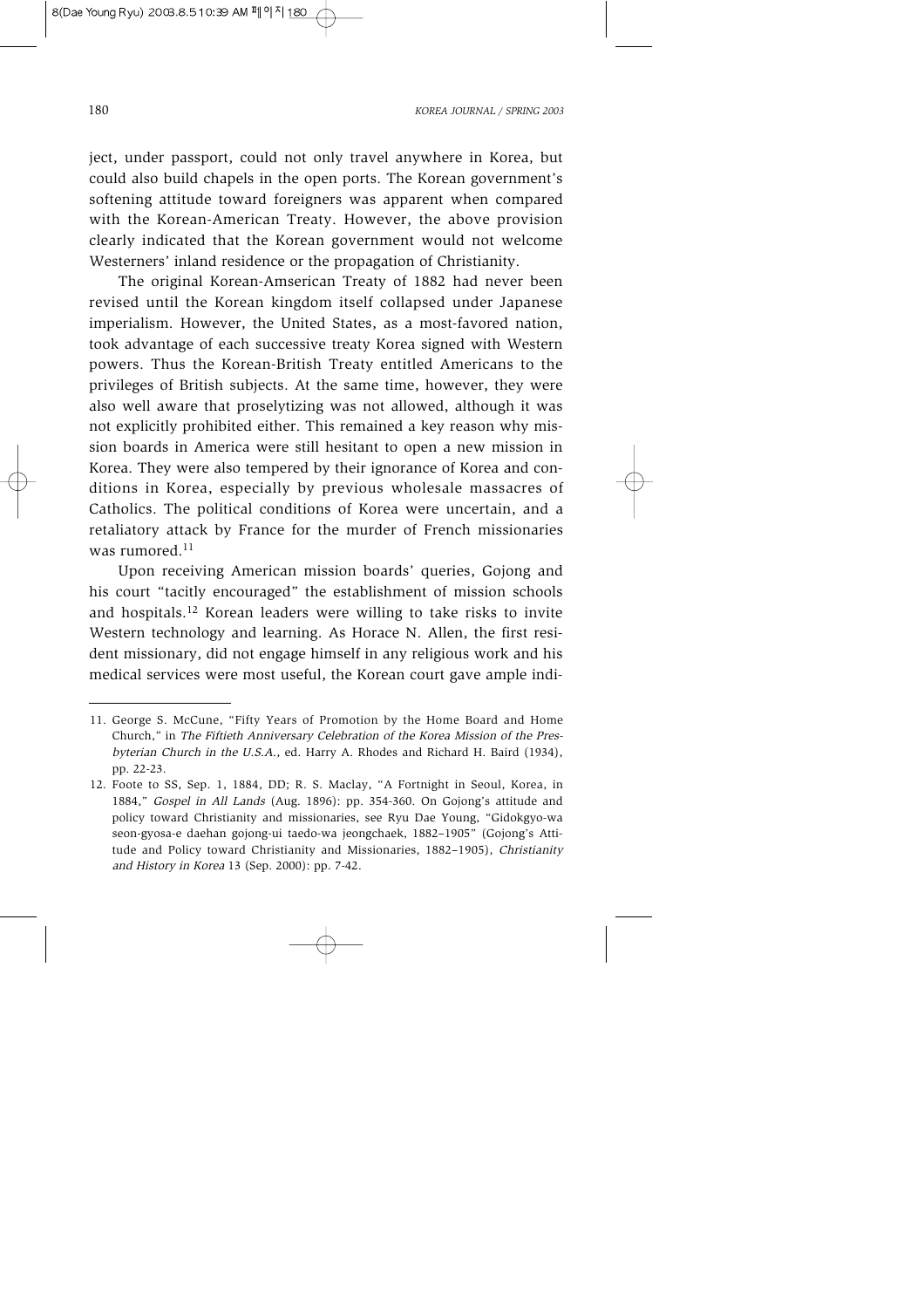ject, under passport, could not only travel anywhere in Korea, but could also build chapels in the open ports. The Korean government's softening attitude toward foreigners was apparent when compared with the Korean-American Treaty. However, the above provision clearly indicated that the Korean government would not welcome Westerners' inland residence or the propagation of Christianity.

The original Korean-Amserican Treaty of 1882 had never been revised until the Korean kingdom itself collapsed under Japanese imperialism. However, the United States, as a most-favored nation, took advantage of each successive treaty Korea signed with Western powers. Thus the Korean-British Treaty entitled Americans to the privileges of British subjects. At the same time, however, they were also well aware that proselytizing was not allowed, although it was not explicitly prohibited either. This remained a key reason why mission boards in America were still hesitant to open a new mission in Korea. They were also tempered by their ignorance of Korea and conditions in Korea, especially by previous wholesale massacres of Catholics. The political conditions of Korea were uncertain, and a retaliatory attack by France for the murder of French missionaries was rumored.<sup>11</sup>

Upon receiving American mission boards' queries, Gojong and his court "tacitly encouraged" the establishment of mission schools and hospitals.12 Korean leaders were willing to take risks to invite Western technology and learning. As Horace N. Allen, the first resident missionary, did not engage himself in any religious work and his medical services were most useful, the Korean court gave ample indi-

<sup>11.</sup> George S. McCune, "Fifty Years of Promotion by the Home Board and Home Church," in The Fiftieth Anniversary Celebration of the Korea Mission of the Presbyterian Church in the U.S.A., ed. Harry A. Rhodes and Richard H. Baird (1934), pp. 22-23.

<sup>12.</sup> Foote to SS, Sep. 1, 1884, DD; R. S. Maclay, "A Fortnight in Seoul, Korea, in 1884," Gospel in All Lands (Aug. 1896): pp. 354-360. On Gojong's attitude and policy toward Christianity and missionaries, see Ryu Dae Young, "Gidokgyo-wa seon-gyosa-e daehan gojong-ui taedo-wa jeongchaek, 1882–1905" (Gojong's Attitude and Policy toward Christianity and Missionaries, 1882–1905), Christianity and History in Korea 13 (Sep. 2000): pp. 7-42.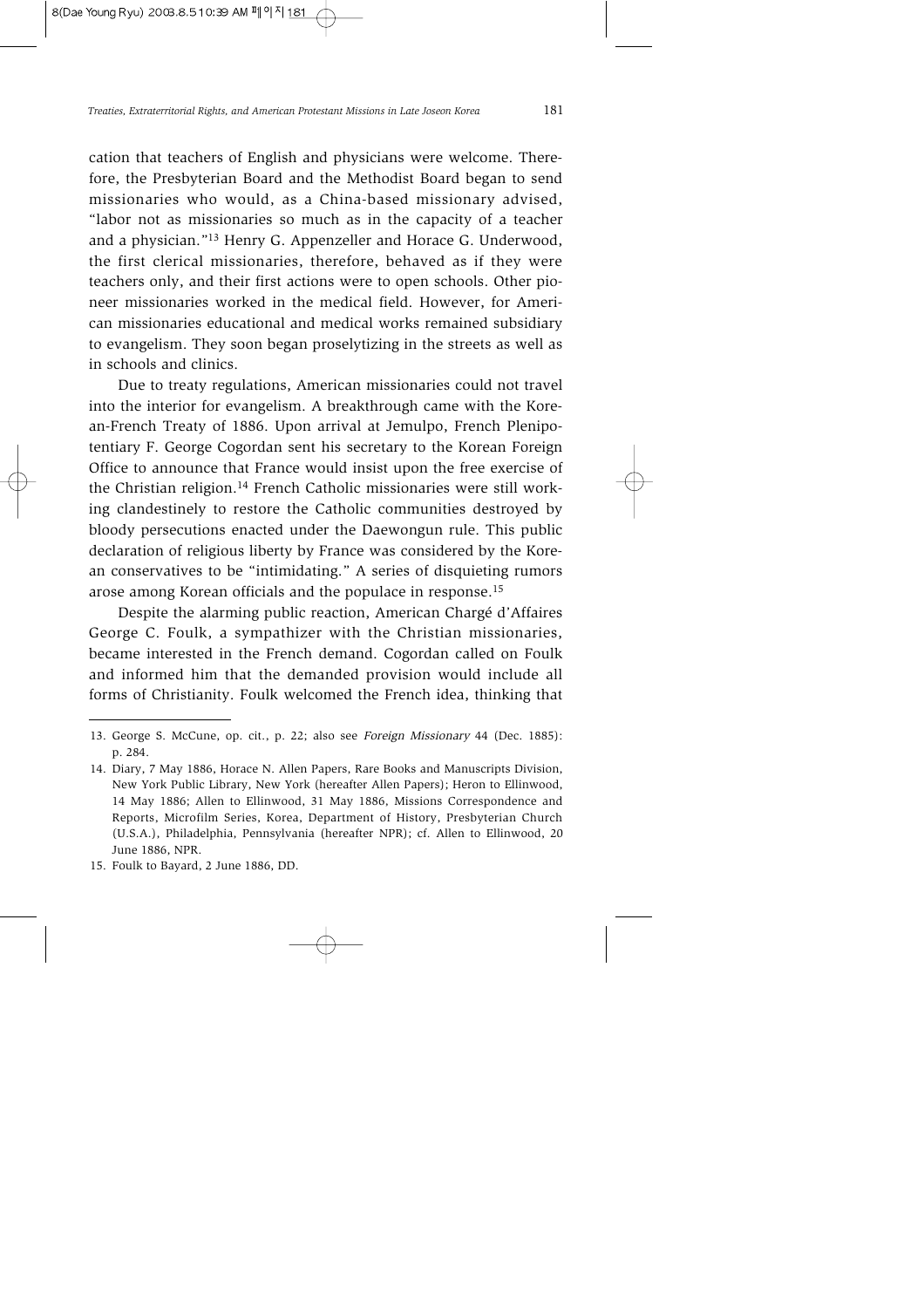cation that teachers of English and physicians were welcome. Therefore, the Presbyterian Board and the Methodist Board began to send missionaries who would, as a China-based missionary advised, "labor not as missionaries so much as in the capacity of a teacher and a physician."13 Henry G. Appenzeller and Horace G. Underwood, the first clerical missionaries, therefore, behaved as if they were teachers only, and their first actions were to open schools. Other pioneer missionaries worked in the medical field. However, for American missionaries educational and medical works remained subsidiary to evangelism. They soon began proselytizing in the streets as well as in schools and clinics.

Due to treaty regulations, American missionaries could not travel into the interior for evangelism. A breakthrough came with the Korean-French Treaty of 1886. Upon arrival at Jemulpo, French Plenipotentiary F. George Cogordan sent his secretary to the Korean Foreign Office to announce that France would insist upon the free exercise of the Christian religion.14 French Catholic missionaries were still working clandestinely to restore the Catholic communities destroyed by bloody persecutions enacted under the Daewongun rule. This public declaration of religious liberty by France was considered by the Korean conservatives to be "intimidating." A series of disquieting rumors arose among Korean officials and the populace in response.<sup>15</sup>

Despite the alarming public reaction, American Chargé d'Affaires George C. Foulk, a sympathizer with the Christian missionaries, became interested in the French demand. Cogordan called on Foulk and informed him that the demanded provision would include all forms of Christianity. Foulk welcomed the French idea, thinking that

<sup>13.</sup> George S. McCune, op. cit., p. 22; also see Foreign Missionary 44 (Dec. 1885): p. 284.

<sup>14.</sup> Diary, 7 May 1886, Horace N. Allen Papers, Rare Books and Manuscripts Division, New York Public Library, New York (hereafter Allen Papers); Heron to Ellinwood, 14 May 1886; Allen to Ellinwood, 31 May 1886, Missions Correspondence and Reports, Microfilm Series, Korea, Department of History, Presbyterian Church (U.S.A.), Philadelphia, Pennsylvania (hereafter NPR); cf. Allen to Ellinwood, 20 June 1886, NPR.

<sup>15.</sup> Foulk to Bayard, 2 June 1886, DD.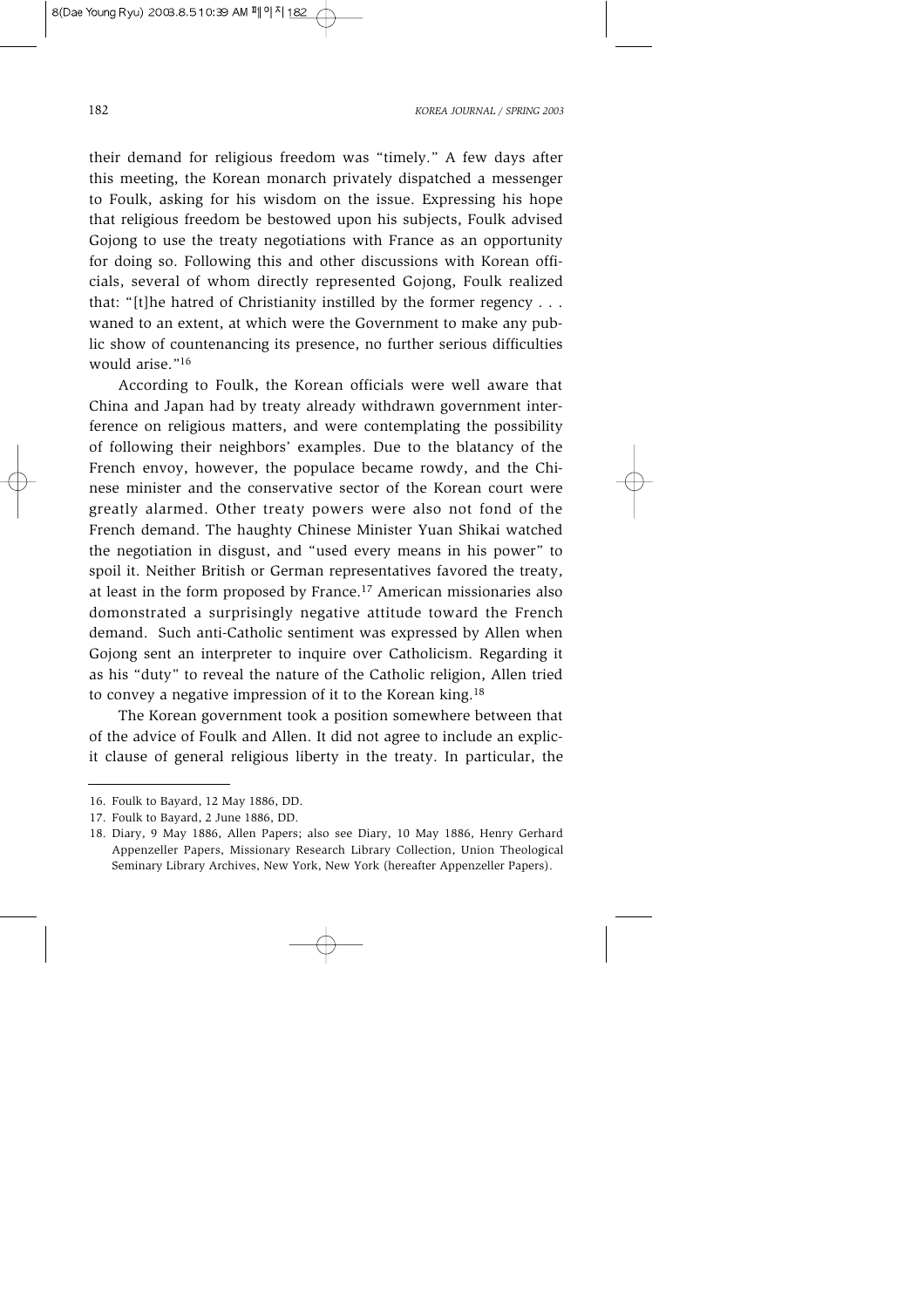their demand for religious freedom was "timely." A few days after this meeting, the Korean monarch privately dispatched a messenger to Foulk, asking for his wisdom on the issue. Expressing his hope that religious freedom be bestowed upon his subjects, Foulk advised Gojong to use the treaty negotiations with France as an opportunity for doing so. Following this and other discussions with Korean officials, several of whom directly represented Gojong, Foulk realized that: "[t]he hatred of Christianity instilled by the former regency . . . waned to an extent, at which were the Government to make any public show of countenancing its presence, no further serious difficulties would arise."16

According to Foulk, the Korean officials were well aware that China and Japan had by treaty already withdrawn government interference on religious matters, and were contemplating the possibility of following their neighbors' examples. Due to the blatancy of the French envoy, however, the populace became rowdy, and the Chinese minister and the conservative sector of the Korean court were greatly alarmed. Other treaty powers were also not fond of the French demand. The haughty Chinese Minister Yuan Shikai watched the negotiation in disgust, and "used every means in his power" to spoil it. Neither British or German representatives favored the treaty, at least in the form proposed by France.<sup>17</sup> American missionaries also domonstrated a surprisingly negative attitude toward the French demand. Such anti-Catholic sentiment was expressed by Allen when Gojong sent an interpreter to inquire over Catholicism. Regarding it as his "duty" to reveal the nature of the Catholic religion, Allen tried to convey a negative impression of it to the Korean king.18

The Korean government took a position somewhere between that of the advice of Foulk and Allen. It did not agree to include an explicit clause of general religious liberty in the treaty. In particular, the

<sup>16.</sup> Foulk to Bayard, 12 May 1886, DD.

<sup>17.</sup> Foulk to Bayard, 2 June 1886, DD.

<sup>18.</sup> Diary, 9 May 1886, Allen Papers; also see Diary, 10 May 1886, Henry Gerhard Appenzeller Papers, Missionary Research Library Collection, Union Theological Seminary Library Archives, New York, New York (hereafter Appenzeller Papers).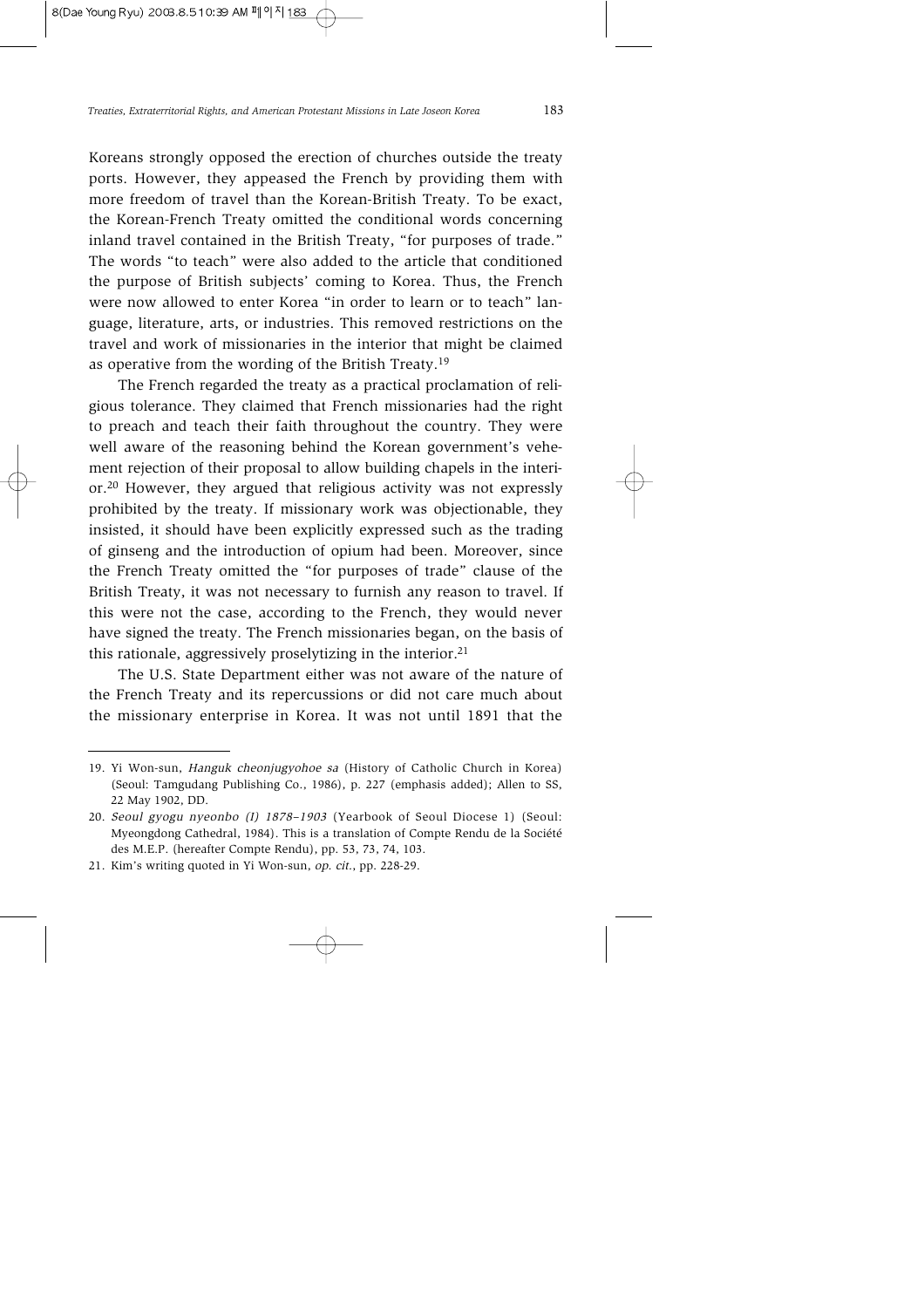Koreans strongly opposed the erection of churches outside the treaty ports. However, they appeased the French by providing them with more freedom of travel than the Korean-British Treaty. To be exact, the Korean-French Treaty omitted the conditional words concerning inland travel contained in the British Treaty, "for purposes of trade." The words "to teach" were also added to the article that conditioned the purpose of British subjects' coming to Korea. Thus, the French were now allowed to enter Korea "in order to learn or to teach" language, literature, arts, or industries. This removed restrictions on the travel and work of missionaries in the interior that might be claimed as operative from the wording of the British Treaty.19

The French regarded the treaty as a practical proclamation of religious tolerance. They claimed that French missionaries had the right to preach and teach their faith throughout the country. They were well aware of the reasoning behind the Korean government's vehement rejection of their proposal to allow building chapels in the interior.20 However, they argued that religious activity was not expressly prohibited by the treaty. If missionary work was objectionable, they insisted, it should have been explicitly expressed such as the trading of ginseng and the introduction of opium had been. Moreover, since the French Treaty omitted the "for purposes of trade" clause of the British Treaty, it was not necessary to furnish any reason to travel. If this were not the case, according to the French, they would never have signed the treaty. The French missionaries began, on the basis of this rationale, aggressively proselytizing in the interior. $21$ 

The U.S. State Department either was not aware of the nature of the French Treaty and its repercussions or did not care much about the missionary enterprise in Korea. It was not until 1891 that the

<sup>19.</sup> Yi Won-sun, Hanguk cheonjugyohoe sa (History of Catholic Church in Korea) (Seoul: Tamgudang Publishing Co., 1986), p. 227 (emphasis added); Allen to SS, 22 May 1902, DD.

<sup>20.</sup> Seoul gyogu nyeonbo (I) 1878–1903 (Yearbook of Seoul Diocese 1) (Seoul: Myeongdong Cathedral, 1984). This is a translation of Compte Rendu de la Société des M.E.P. (hereafter Compte Rendu), pp. 53, 73, 74, 103.

<sup>21.</sup> Kim's writing quoted in Yi Won-sun, op. cit., pp. 228-29.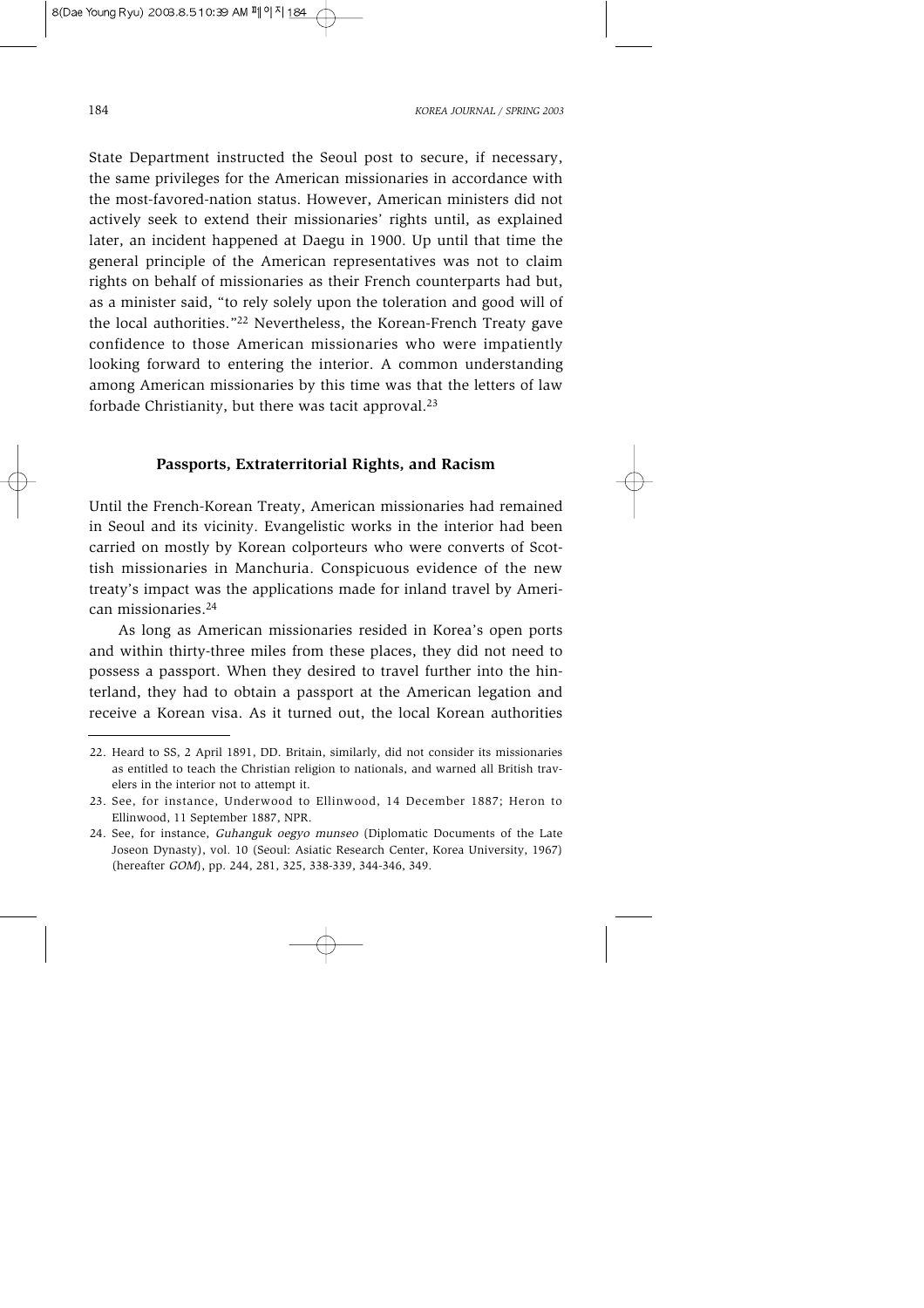State Department instructed the Seoul post to secure, if necessary, the same privileges for the American missionaries in accordance with the most-favored-nation status. However, American ministers did not actively seek to extend their missionaries' rights until, as explained later, an incident happened at Daegu in 1900. Up until that time the general principle of the American representatives was not to claim rights on behalf of missionaries as their French counterparts had but, as a minister said, "to rely solely upon the toleration and good will of the local authorities."22 Nevertheless, the Korean-French Treaty gave confidence to those American missionaries who were impatiently looking forward to entering the interior. A common understanding among American missionaries by this time was that the letters of law forbade Christianity, but there was tacit approval.<sup>23</sup>

#### **Passports, Extraterritorial Rights, and Racism**

Until the French-Korean Treaty, American missionaries had remained in Seoul and its vicinity. Evangelistic works in the interior had been carried on mostly by Korean colporteurs who were converts of Scottish missionaries in Manchuria. Conspicuous evidence of the new treaty's impact was the applications made for inland travel by American missionaries.24

As long as American missionaries resided in Korea's open ports and within thirty-three miles from these places, they did not need to possess a passport. When they desired to travel further into the hinterland, they had to obtain a passport at the American legation and receive a Korean visa. As it turned out, the local Korean authorities

<sup>22.</sup> Heard to SS, 2 April 1891, DD. Britain, similarly, did not consider its missionaries as entitled to teach the Christian religion to nationals, and warned all British travelers in the interior not to attempt it.

<sup>23.</sup> See, for instance, Underwood to Ellinwood, 14 December 1887; Heron to Ellinwood, 11 September 1887, NPR.

<sup>24.</sup> See, for instance, Guhanguk oegyo munseo (Diplomatic Documents of the Late Joseon Dynasty), vol. 10 (Seoul: Asiatic Research Center, Korea University, 1967) (hereafter GOM), pp. 244, 281, 325, 338-339, 344-346, 349.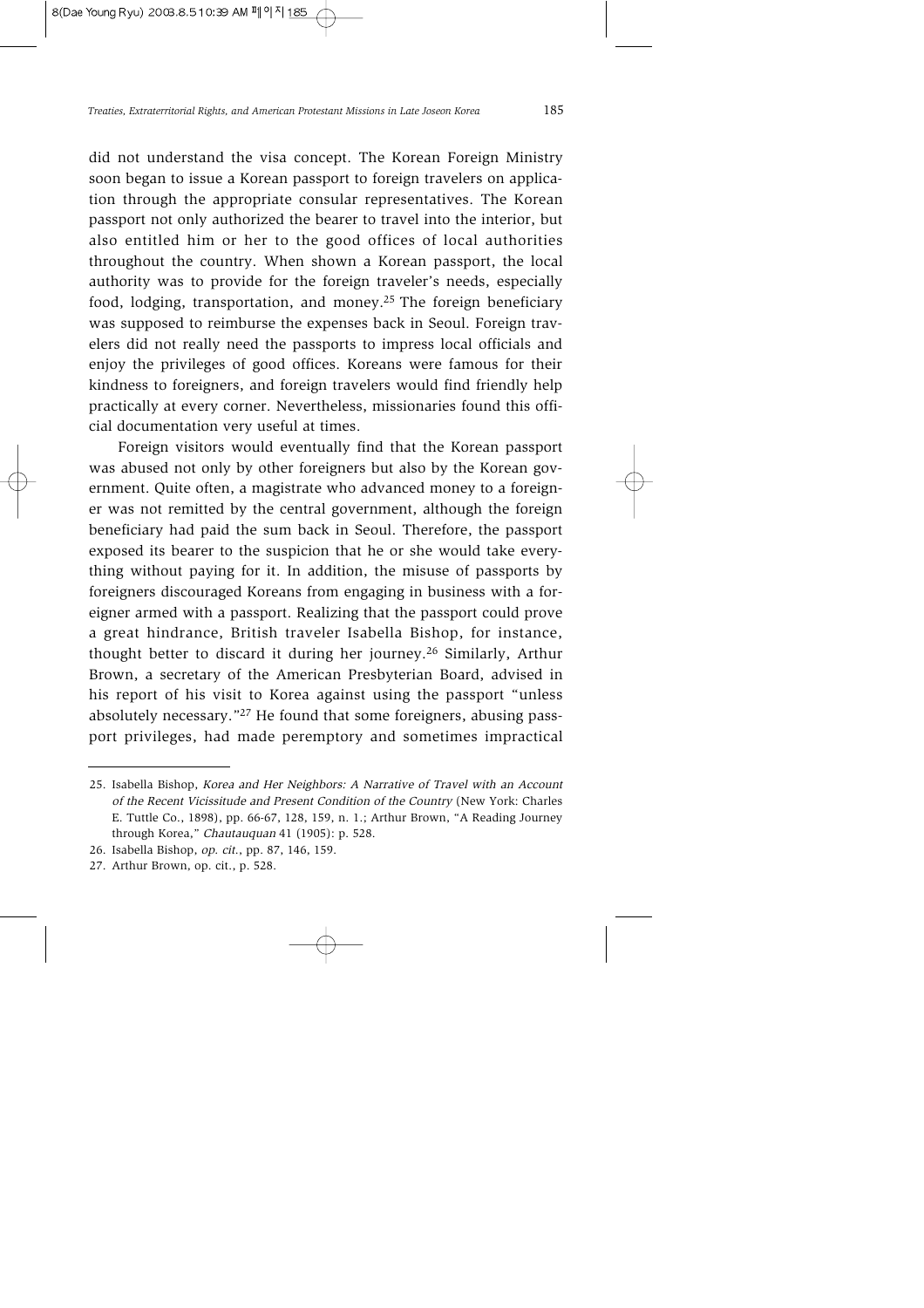did not understand the visa concept. The Korean Foreign Ministry soon began to issue a Korean passport to foreign travelers on application through the appropriate consular representatives. The Korean passport not only authorized the bearer to travel into the interior, but also entitled him or her to the good offices of local authorities throughout the country. When shown a Korean passport, the local authority was to provide for the foreign traveler's needs, especially food, lodging, transportation, and money.25 The foreign beneficiary was supposed to reimburse the expenses back in Seoul. Foreign travelers did not really need the passports to impress local officials and enjoy the privileges of good offices. Koreans were famous for their kindness to foreigners, and foreign travelers would find friendly help practically at every corner. Nevertheless, missionaries found this official documentation very useful at times.

Foreign visitors would eventually find that the Korean passport was abused not only by other foreigners but also by the Korean government. Quite often, a magistrate who advanced money to a foreigner was not remitted by the central government, although the foreign beneficiary had paid the sum back in Seoul. Therefore, the passport exposed its bearer to the suspicion that he or she would take everything without paying for it. In addition, the misuse of passports by foreigners discouraged Koreans from engaging in business with a foreigner armed with a passport. Realizing that the passport could prove a great hindrance, British traveler Isabella Bishop, for instance, thought better to discard it during her journey.26 Similarly, Arthur Brown, a secretary of the American Presbyterian Board, advised in his report of his visit to Korea against using the passport "unless absolutely necessary."27 He found that some foreigners, abusing passport privileges, had made peremptory and sometimes impractical

<sup>25.</sup> Isabella Bishop, Korea and Her Neighbors: A Narrative of Travel with an Account of the Recent Vicissitude and Present Condition of the Country (New York: Charles E. Tuttle Co., 1898), pp. 66-67, 128, 159, n. 1.; Arthur Brown, "A Reading Journey through Korea," Chautauquan 41 (1905): p. 528.

<sup>26.</sup> Isabella Bishop, op. cit., pp. 87, 146, 159.

<sup>27.</sup> Arthur Brown, op. cit., p. 528.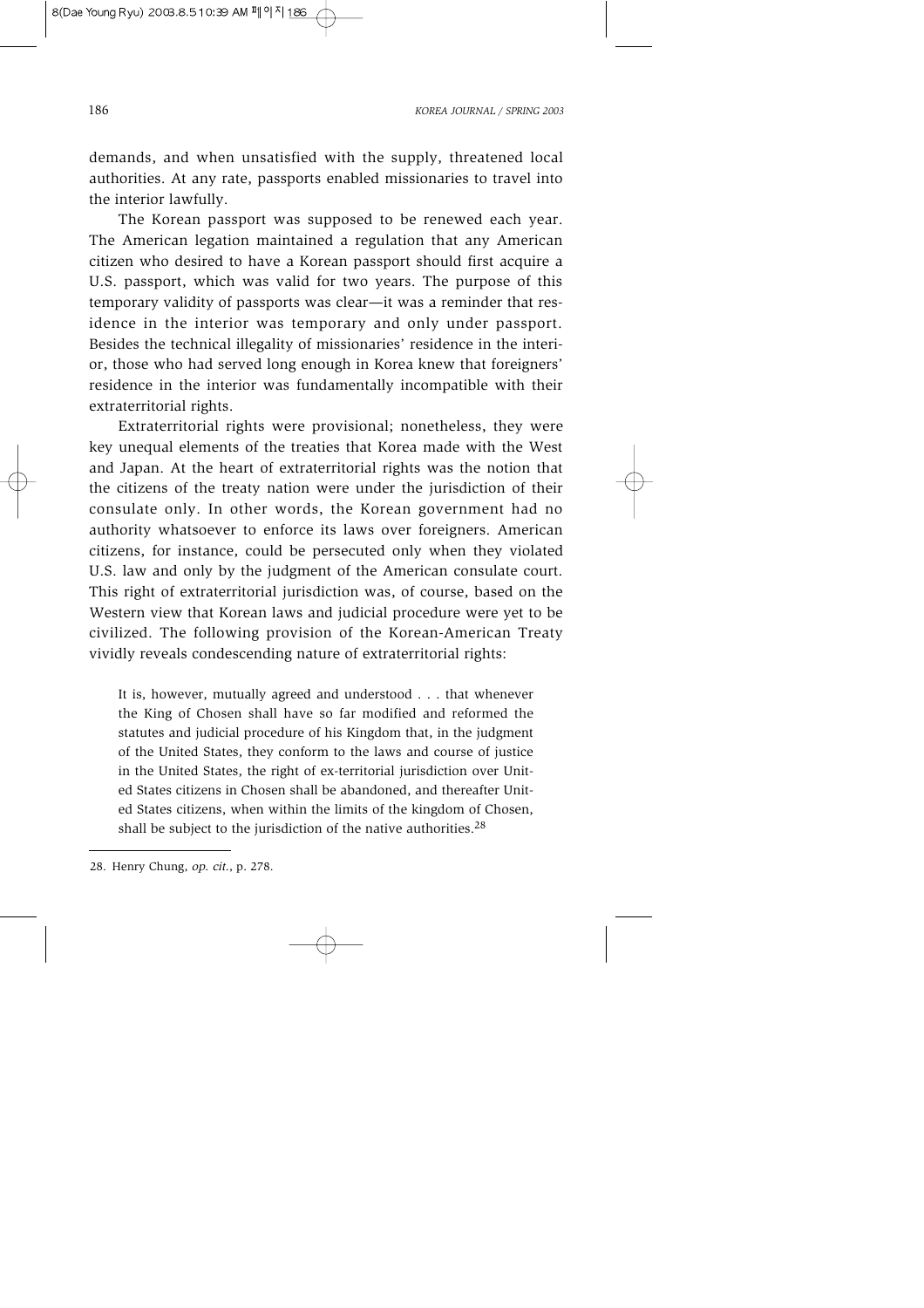demands, and when unsatisfied with the supply, threatened local authorities. At any rate, passports enabled missionaries to travel into the interior lawfully.

The Korean passport was supposed to be renewed each year. The American legation maintained a regulation that any American citizen who desired to have a Korean passport should first acquire a U.S. passport, which was valid for two years. The purpose of this temporary validity of passports was clear—it was a reminder that residence in the interior was temporary and only under passport. Besides the technical illegality of missionaries' residence in the interior, those who had served long enough in Korea knew that foreigners' residence in the interior was fundamentally incompatible with their extraterritorial rights.

Extraterritorial rights were provisional; nonetheless, they were key unequal elements of the treaties that Korea made with the West and Japan. At the heart of extraterritorial rights was the notion that the citizens of the treaty nation were under the jurisdiction of their consulate only. In other words, the Korean government had no authority whatsoever to enforce its laws over foreigners. American citizens, for instance, could be persecuted only when they violated U.S. law and only by the judgment of the American consulate court. This right of extraterritorial jurisdiction was, of course, based on the Western view that Korean laws and judicial procedure were yet to be civilized. The following provision of the Korean-American Treaty vividly reveals condescending nature of extraterritorial rights:

It is, however, mutually agreed and understood . . . that whenever the King of Chosen shall have so far modified and reformed the statutes and judicial procedure of his Kingdom that, in the judgment of the United States, they conform to the laws and course of justice in the United States, the right of ex-territorial jurisdiction over United States citizens in Chosen shall be abandoned, and thereafter United States citizens, when within the limits of the kingdom of Chosen, shall be subject to the jurisdiction of the native authorities.<sup>28</sup>

<sup>28.</sup> Henry Chung, op. cit., p. 278.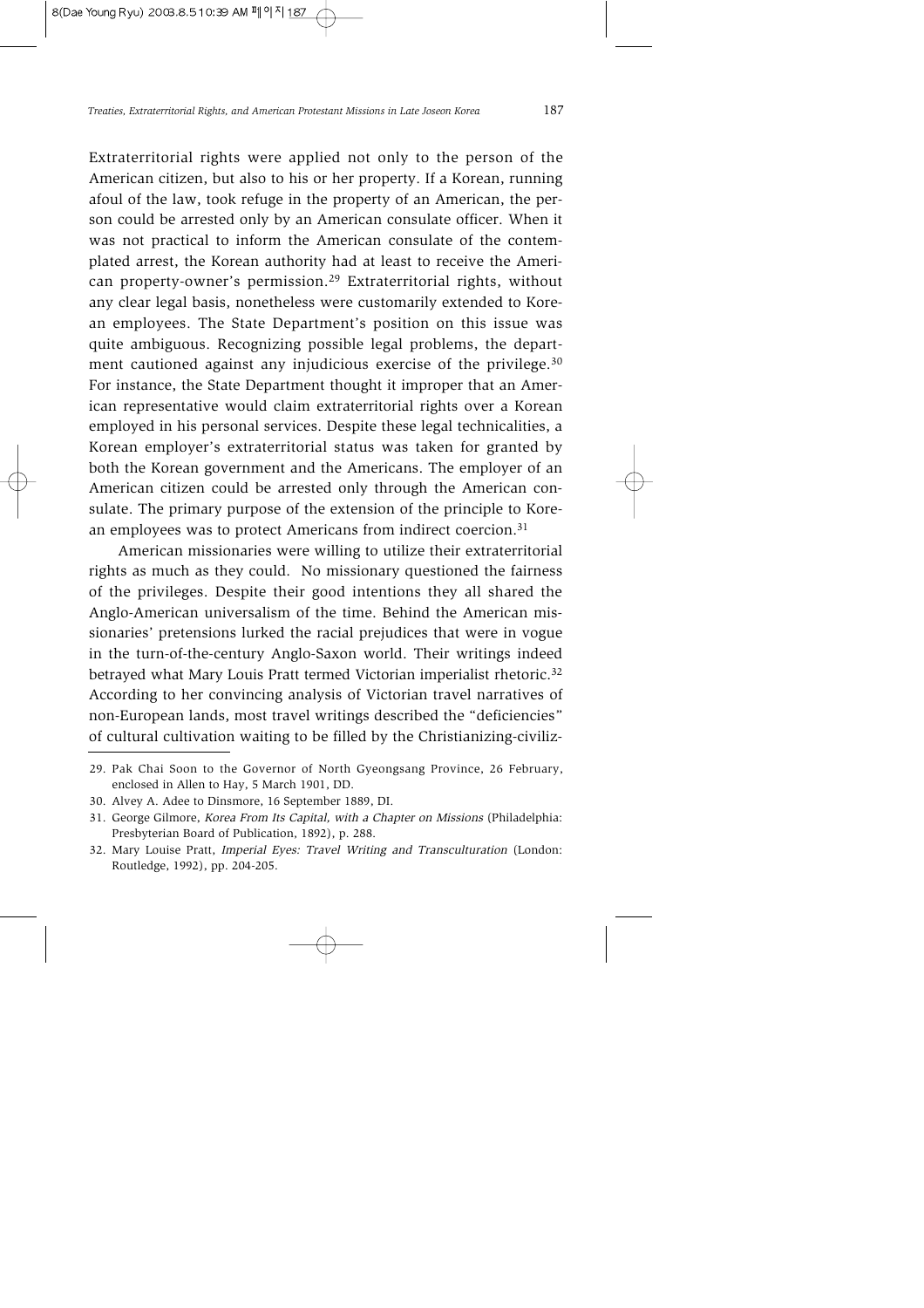Extraterritorial rights were applied not only to the person of the American citizen, but also to his or her property. If a Korean, running afoul of the law, took refuge in the property of an American, the person could be arrested only by an American consulate officer. When it was not practical to inform the American consulate of the contemplated arrest, the Korean authority had at least to receive the American property-owner's permission.29 Extraterritorial rights, without any clear legal basis, nonetheless were customarily extended to Korean employees. The State Department's position on this issue was quite ambiguous. Recognizing possible legal problems, the department cautioned against any injudicious exercise of the privilege.<sup>30</sup> For instance, the State Department thought it improper that an American representative would claim extraterritorial rights over a Korean employed in his personal services. Despite these legal technicalities, a Korean employer's extraterritorial status was taken for granted by both the Korean government and the Americans. The employer of an American citizen could be arrested only through the American consulate. The primary purpose of the extension of the principle to Korean employees was to protect Americans from indirect coercion.<sup>31</sup>

American missionaries were willing to utilize their extraterritorial rights as much as they could. No missionary questioned the fairness of the privileges. Despite their good intentions they all shared the Anglo-American universalism of the time. Behind the American missionaries' pretensions lurked the racial prejudices that were in vogue in the turn-of-the-century Anglo-Saxon world. Their writings indeed betrayed what Mary Louis Pratt termed Victorian imperialist rhetoric.32 According to her convincing analysis of Victorian travel narratives of non-European lands, most travel writings described the "deficiencies" of cultural cultivation waiting to be filled by the Christianizing-civiliz-

<sup>29.</sup> Pak Chai Soon to the Governor of North Gyeongsang Province, 26 February, enclosed in Allen to Hay, 5 March 1901, DD.

<sup>30.</sup> Alvey A. Adee to Dinsmore, 16 September 1889, DI.

<sup>31.</sup> George Gilmore, Korea From Its Capital, with a Chapter on Missions (Philadelphia: Presbyterian Board of Publication, 1892), p. 288.

<sup>32.</sup> Mary Louise Pratt, Imperial Eyes: Travel Writing and Transculturation (London: Routledge, 1992), pp. 204-205.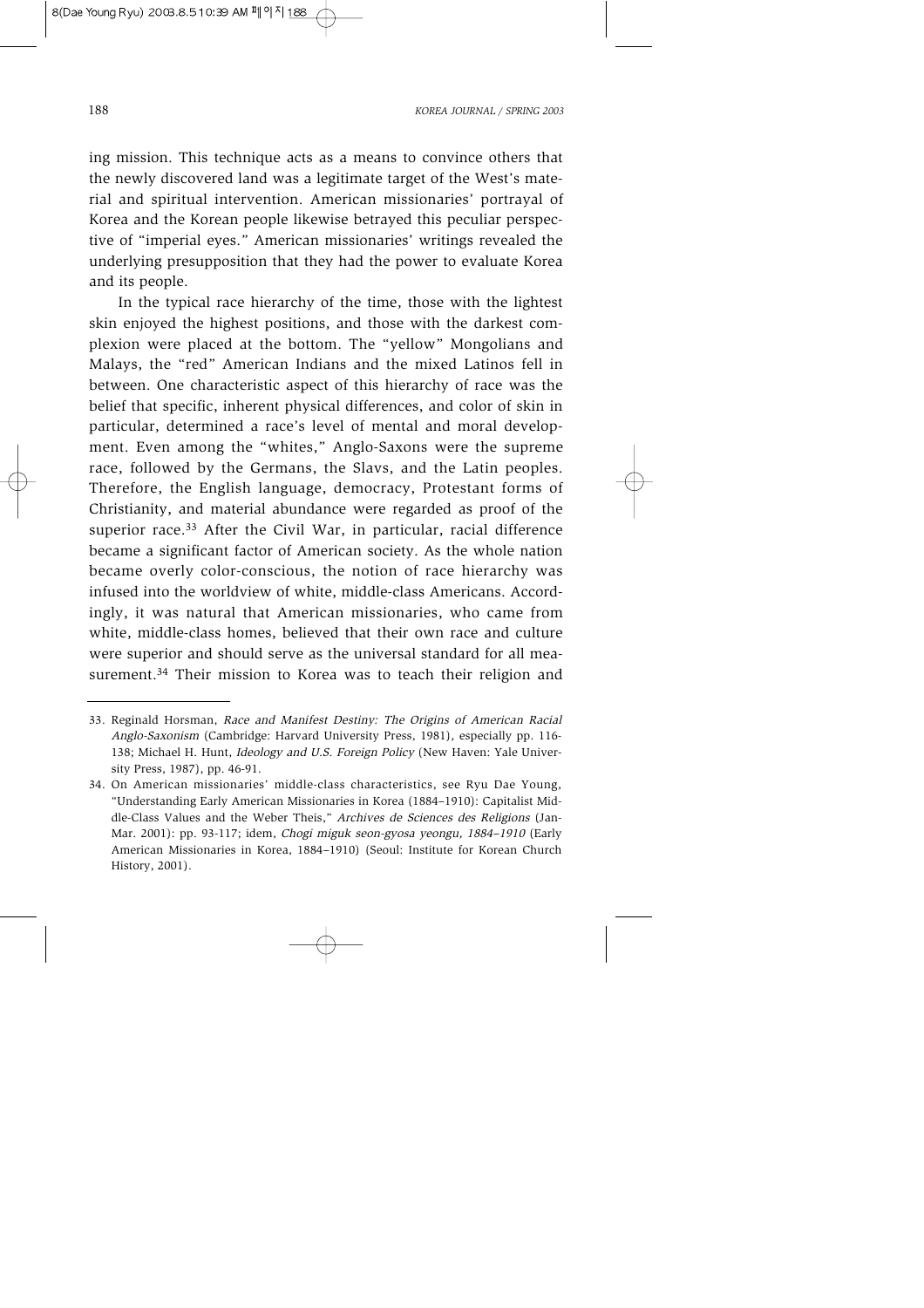ing mission. This technique acts as a means to convince others that the newly discovered land was a legitimate target of the West's material and spiritual intervention. American missionaries' portrayal of Korea and the Korean people likewise betrayed this peculiar perspective of "imperial eyes." American missionaries' writings revealed the underlying presupposition that they had the power to evaluate Korea and its people.

In the typical race hierarchy of the time, those with the lightest skin enjoyed the highest positions, and those with the darkest complexion were placed at the bottom. The "yellow" Mongolians and Malays, the "red" American Indians and the mixed Latinos fell in between. One characteristic aspect of this hierarchy of race was the belief that specific, inherent physical differences, and color of skin in particular, determined a race's level of mental and moral development. Even among the "whites," Anglo-Saxons were the supreme race, followed by the Germans, the Slavs, and the Latin peoples. Therefore, the English language, democracy, Protestant forms of Christianity, and material abundance were regarded as proof of the superior race.<sup>33</sup> After the Civil War, in particular, racial difference became a significant factor of American society. As the whole nation became overly color-conscious, the notion of race hierarchy was infused into the worldview of white, middle-class Americans. Accordingly, it was natural that American missionaries, who came from white, middle-class homes, believed that their own race and culture were superior and should serve as the universal standard for all measurement.<sup>34</sup> Their mission to Korea was to teach their religion and

<sup>33.</sup> Reginald Horsman, Race and Manifest Destiny: The Origins of American Racial Anglo-Saxonism (Cambridge: Harvard University Press, 1981), especially pp. 116-138; Michael H. Hunt, *Ideology and U.S. Foreign Policy* (New Haven: Yale University Press, 1987), pp. 46-91.

<sup>34.</sup> On American missionaries' middle-class characteristics, see Ryu Dae Young, "Understanding Early American Missionaries in Korea (1884–1910): Capitalist Middle-Class Values and the Weber Theis," Archives de Sciences des Religions (Jan-Mar. 2001): pp. 93-117; idem, *Chogi miguk seon-gyosa yeongu, 1884–1910* (Early American Missionaries in Korea, 1884–1910) (Seoul: Institute for Korean Church History, 2001).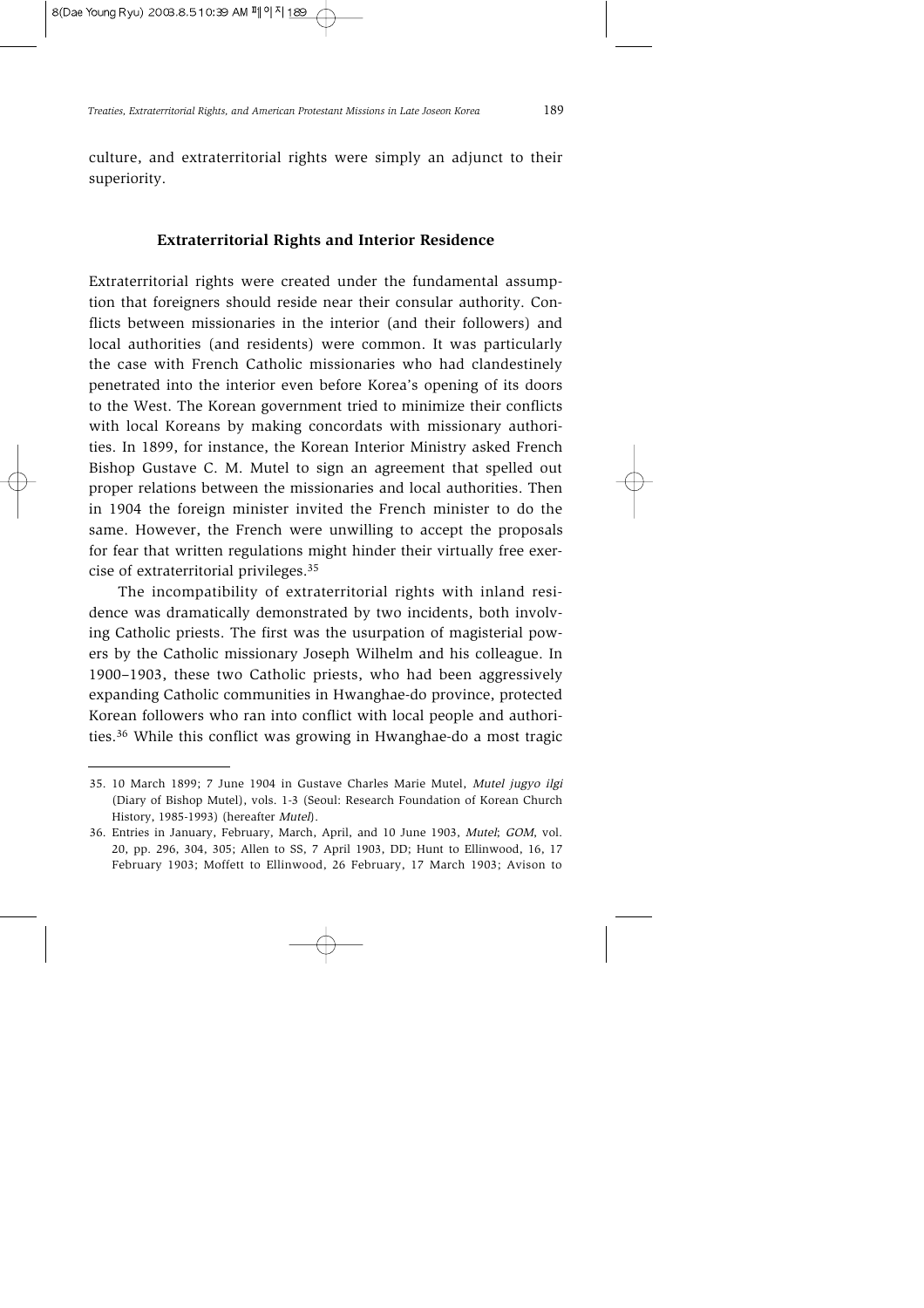culture, and extraterritorial rights were simply an adjunct to their superiority.

## **Extraterritorial Rights and Interior Residence**

Extraterritorial rights were created under the fundamental assumption that foreigners should reside near their consular authority. Conflicts between missionaries in the interior (and their followers) and local authorities (and residents) were common. It was particularly the case with French Catholic missionaries who had clandestinely penetrated into the interior even before Korea's opening of its doors to the West. The Korean government tried to minimize their conflicts with local Koreans by making concordats with missionary authorities. In 1899, for instance, the Korean Interior Ministry asked French Bishop Gustave C. M. Mutel to sign an agreement that spelled out proper relations between the missionaries and local authorities. Then in 1904 the foreign minister invited the French minister to do the same. However, the French were unwilling to accept the proposals for fear that written regulations might hinder their virtually free exercise of extraterritorial privileges.35

The incompatibility of extraterritorial rights with inland residence was dramatically demonstrated by two incidents, both involving Catholic priests. The first was the usurpation of magisterial powers by the Catholic missionary Joseph Wilhelm and his colleague. In 1900–1903, these two Catholic priests, who had been aggressively expanding Catholic communities in Hwanghae-do province, protected Korean followers who ran into conflict with local people and authorities.<sup>36</sup> While this conflict was growing in Hwanghae-do a most tragic

<sup>35. 10</sup> March 1899; 7 June 1904 in Gustave Charles Marie Mutel, Mutel jugyo ilgi (Diary of Bishop Mutel), vols. 1-3 (Seoul: Research Foundation of Korean Church History, 1985-1993) (hereafter Mutel).

<sup>36.</sup> Entries in January, February, March, April, and 10 June 1903, Mutel; GOM, vol. 20, pp. 296, 304, 305; Allen to SS, 7 April 1903, DD; Hunt to Ellinwood, 16, 17 February 1903; Moffett to Ellinwood, 26 February, 17 March 1903; Avison to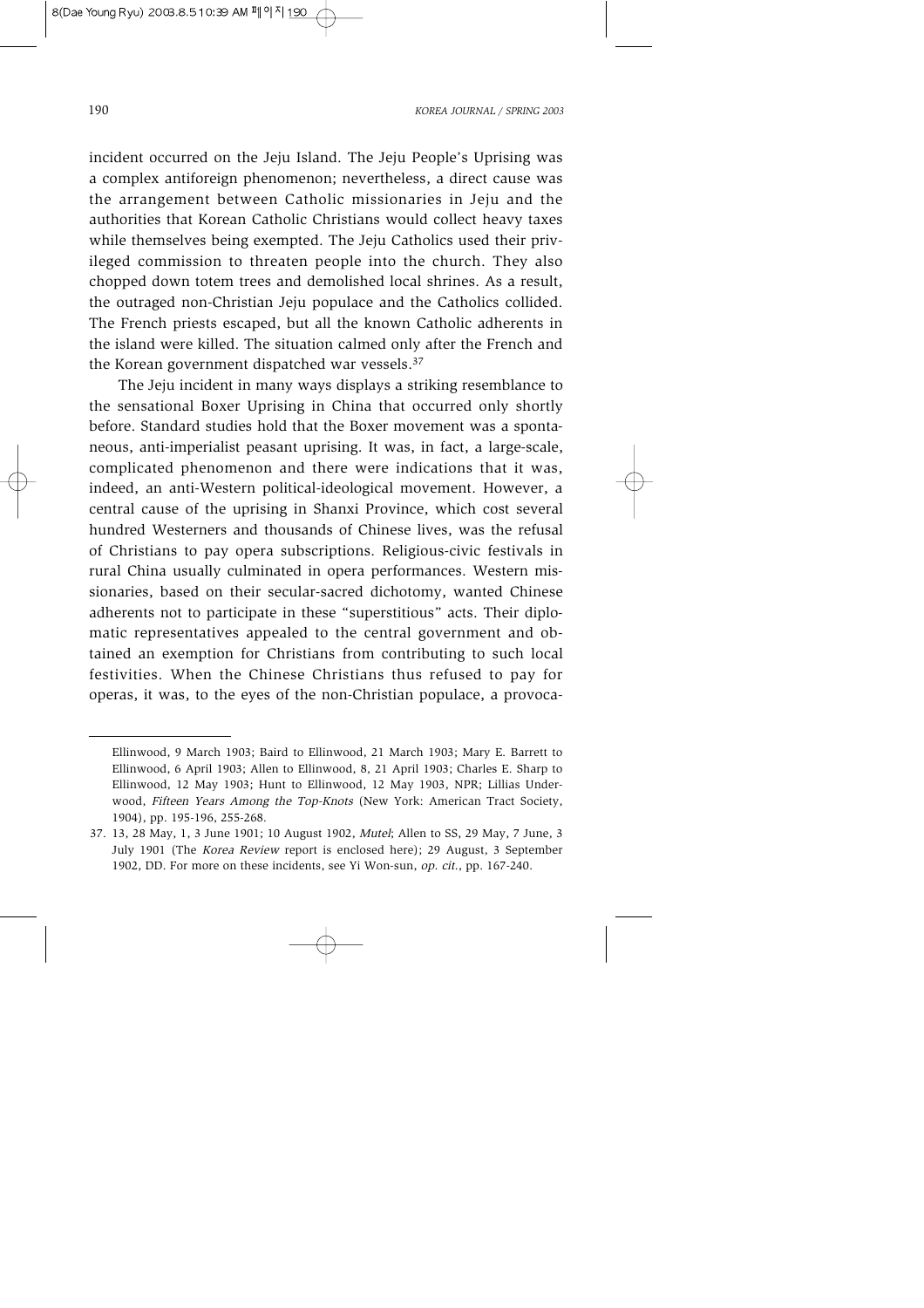incident occurred on the Jeju Island. The Jeju People's Uprising was a complex antiforeign phenomenon; nevertheless, a direct cause was the arrangement between Catholic missionaries in Jeju and the authorities that Korean Catholic Christians would collect heavy taxes while themselves being exempted. The Jeju Catholics used their privileged commission to threaten people into the church. They also chopped down totem trees and demolished local shrines. As a result, the outraged non-Christian Jeju populace and the Catholics collided. The French priests escaped, but all the known Catholic adherents in the island were killed. The situation calmed only after the French and the Korean government dispatched war vessels.<sup>37</sup>

The Jeju incident in many ways displays a striking resemblance to the sensational Boxer Uprising in China that occurred only shortly before. Standard studies hold that the Boxer movement was a spontaneous, anti-imperialist peasant uprising. It was, in fact, a large-scale, complicated phenomenon and there were indications that it was, indeed, an anti-Western political-ideological movement. However, a central cause of the uprising in Shanxi Province, which cost several hundred Westerners and thousands of Chinese lives, was the refusal of Christians to pay opera subscriptions. Religious-civic festivals in rural China usually culminated in opera performances. Western missionaries, based on their secular-sacred dichotomy, wanted Chinese adherents not to participate in these "superstitious" acts. Their diplomatic representatives appealed to the central government and obtained an exemption for Christians from contributing to such local festivities. When the Chinese Christians thus refused to pay for operas, it was, to the eyes of the non-Christian populace, a provoca-

Ellinwood, 9 March 1903; Baird to Ellinwood, 21 March 1903; Mary E. Barrett to Ellinwood, 6 April 1903; Allen to Ellinwood, 8, 21 April 1903; Charles E. Sharp to Ellinwood, 12 May 1903; Hunt to Ellinwood, 12 May 1903, NPR; Lillias Underwood, Fifteen Years Among the Top-Knots (New York: American Tract Society, 1904), pp. 195-196, 255-268.

<sup>37. 13, 28</sup> May, 1, 3 June 1901; 10 August 1902, Mutel; Allen to SS, 29 May, 7 June, 3 July 1901 (The Korea Review report is enclosed here); 29 August, 3 September 1902, DD. For more on these incidents, see Yi Won-sun, op. cit., pp. 167-240.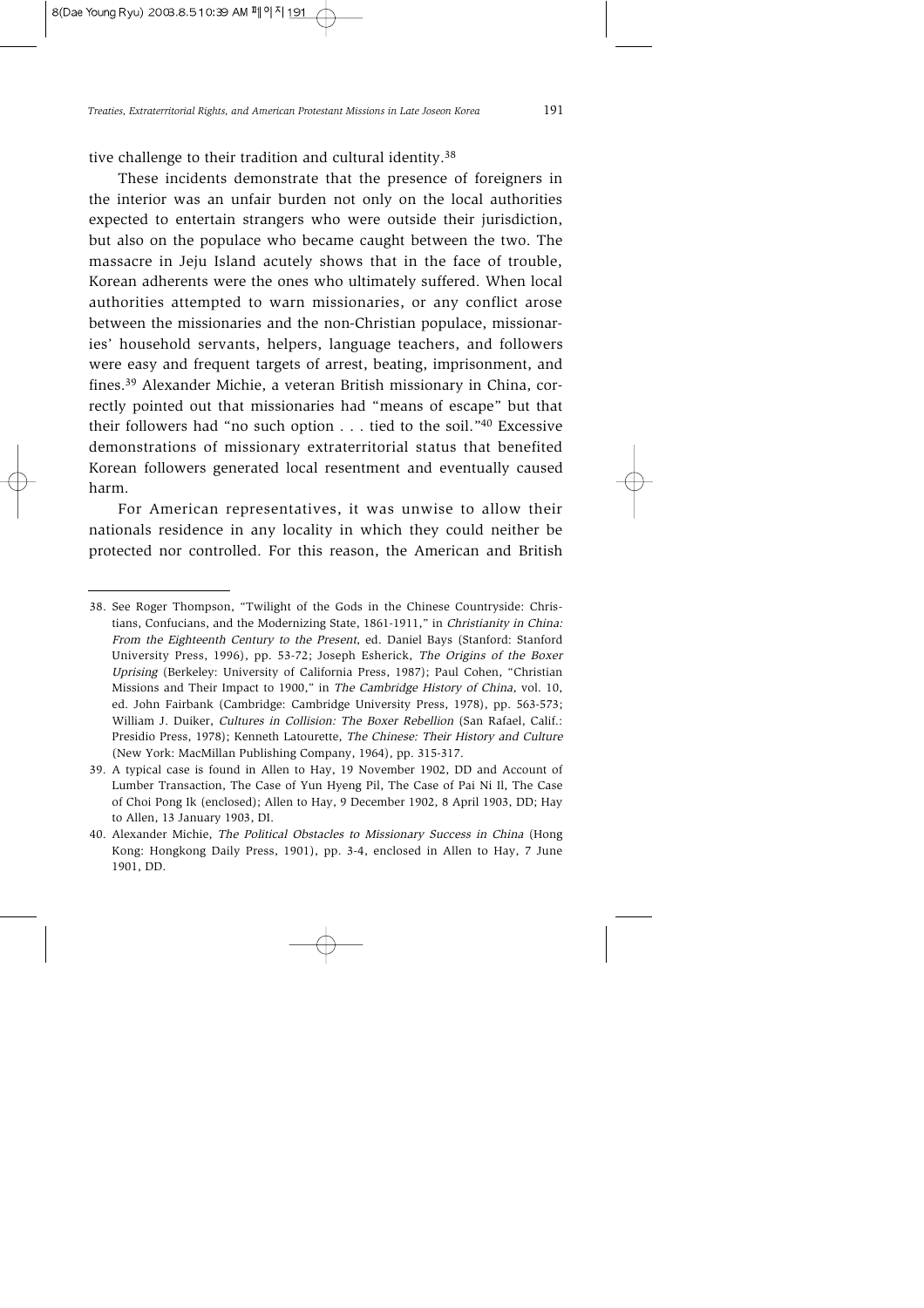tive challenge to their tradition and cultural identity.<sup>38</sup>

These incidents demonstrate that the presence of foreigners in the interior was an unfair burden not only on the local authorities expected to entertain strangers who were outside their jurisdiction, but also on the populace who became caught between the two. The massacre in Jeju Island acutely shows that in the face of trouble, Korean adherents were the ones who ultimately suffered. When local authorities attempted to warn missionaries, or any conflict arose between the missionaries and the non-Christian populace, missionaries' household servants, helpers, language teachers, and followers were easy and frequent targets of arrest, beating, imprisonment, and fines.39 Alexander Michie, a veteran British missionary in China, correctly pointed out that missionaries had "means of escape" but that their followers had "no such option . . . tied to the soil."40 Excessive demonstrations of missionary extraterritorial status that benefited Korean followers generated local resentment and eventually caused harm.

For American representatives, it was unwise to allow their nationals residence in any locality in which they could neither be protected nor controlled. For this reason, the American and British

<sup>38.</sup> See Roger Thompson, "Twilight of the Gods in the Chinese Countryside: Christians, Confucians, and the Modernizing State, 1861-1911," in Christianity in China: From the Eighteenth Century to the Present, ed. Daniel Bays (Stanford: Stanford University Press, 1996), pp. 53-72; Joseph Esherick, The Origins of the Boxer Uprising (Berkeley: University of California Press, 1987); Paul Cohen, "Christian Missions and Their Impact to 1900," in The Cambridge History of China, vol. 10, ed. John Fairbank (Cambridge: Cambridge University Press, 1978), pp. 563-573; William J. Duiker, Cultures in Collision: The Boxer Rebellion (San Rafael, Calif.: Presidio Press, 1978); Kenneth Latourette, The Chinese: Their History and Culture (New York: MacMillan Publishing Company, 1964), pp. 315-317.

<sup>39.</sup> A typical case is found in Allen to Hay, 19 November 1902, DD and Account of Lumber Transaction, The Case of Yun Hyeng Pil, The Case of Pai Ni Il, The Case of Choi Pong Ik (enclosed); Allen to Hay, 9 December 1902, 8 April 1903, DD; Hay to Allen, 13 January 1903, DI.

<sup>40.</sup> Alexander Michie, The Political Obstacles to Missionary Success in China (Hong Kong: Hongkong Daily Press, 1901), pp. 3-4, enclosed in Allen to Hay, 7 June 1901, DD.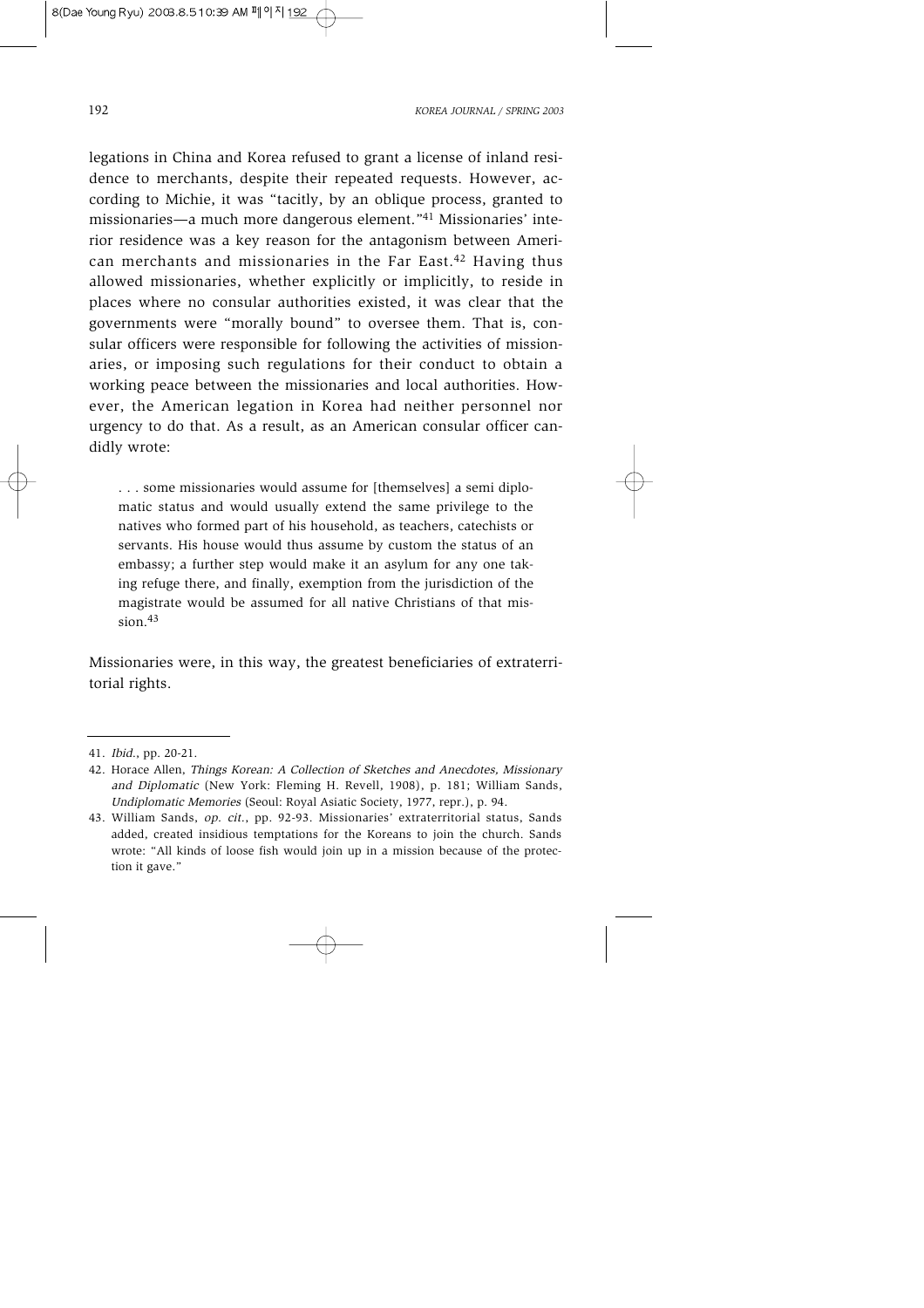legations in China and Korea refused to grant a license of inland residence to merchants, despite their repeated requests. However, according to Michie, it was "tacitly, by an oblique process, granted to missionaries—a much more dangerous element."41 Missionaries' interior residence was a key reason for the antagonism between American merchants and missionaries in the Far East.<sup>42</sup> Having thus allowed missionaries, whether explicitly or implicitly, to reside in places where no consular authorities existed, it was clear that the governments were "morally bound" to oversee them. That is, consular officers were responsible for following the activities of missionaries, or imposing such regulations for their conduct to obtain a working peace between the missionaries and local authorities. However, the American legation in Korea had neither personnel nor urgency to do that. As a result, as an American consular officer candidly wrote:

. . . some missionaries would assume for [themselves] a semi diplomatic status and would usually extend the same privilege to the natives who formed part of his household, as teachers, catechists or servants. His house would thus assume by custom the status of an embassy; a further step would make it an asylum for any one taking refuge there, and finally, exemption from the jurisdiction of the magistrate would be assumed for all native Christians of that mission.<sup>43</sup>

Missionaries were, in this way, the greatest beneficiaries of extraterritorial rights.

<sup>41.</sup> Ibid., pp. 20-21.

<sup>42.</sup> Horace Allen, Things Korean: A Collection of Sketches and Anecdotes, Missionary and Diplomatic (New York: Fleming H. Revell, 1908), p. 181; William Sands, Undiplomatic Memories (Seoul: Royal Asiatic Society, 1977, repr.), p. 94.

<sup>43.</sup> William Sands, op. cit., pp. 92-93. Missionaries' extraterritorial status, Sands added, created insidious temptations for the Koreans to join the church. Sands wrote: "All kinds of loose fish would join up in a mission because of the protection it gave."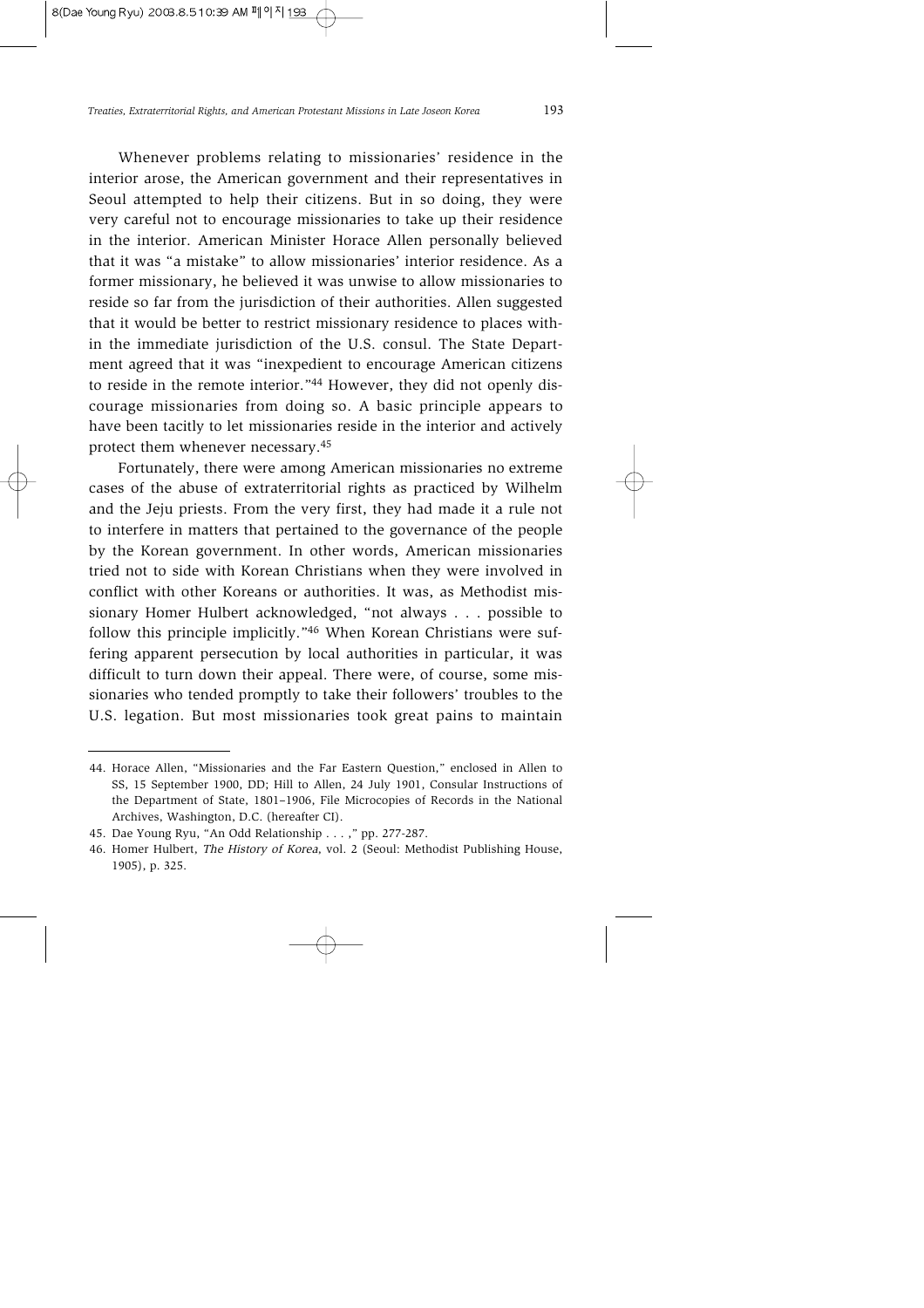Whenever problems relating to missionaries' residence in the interior arose, the American government and their representatives in Seoul attempted to help their citizens. But in so doing, they were very careful not to encourage missionaries to take up their residence in the interior. American Minister Horace Allen personally believed that it was "a mistake" to allow missionaries' interior residence. As a former missionary, he believed it was unwise to allow missionaries to reside so far from the jurisdiction of their authorities. Allen suggested that it would be better to restrict missionary residence to places within the immediate jurisdiction of the U.S. consul. The State Department agreed that it was "inexpedient to encourage American citizens to reside in the remote interior."44 However, they did not openly discourage missionaries from doing so. A basic principle appears to have been tacitly to let missionaries reside in the interior and actively protect them whenever necessary.45

Fortunately, there were among American missionaries no extreme cases of the abuse of extraterritorial rights as practiced by Wilhelm and the Jeju priests. From the very first, they had made it a rule not to interfere in matters that pertained to the governance of the people by the Korean government. In other words, American missionaries tried not to side with Korean Christians when they were involved in conflict with other Koreans or authorities. It was, as Methodist missionary Homer Hulbert acknowledged, "not always . . . possible to follow this principle implicitly."46 When Korean Christians were suffering apparent persecution by local authorities in particular, it was difficult to turn down their appeal. There were, of course, some missionaries who tended promptly to take their followers' troubles to the U.S. legation. But most missionaries took great pains to maintain

<sup>44.</sup> Horace Allen, "Missionaries and the Far Eastern Question," enclosed in Allen to SS, 15 September 1900, DD; Hill to Allen, 24 July 1901, Consular Instructions of the Department of State, 1801–1906, File Microcopies of Records in the National Archives, Washington, D.C. (hereafter CI).

<sup>45.</sup> Dae Young Ryu, "An Odd Relationship . . . ," pp. 277-287.

<sup>46.</sup> Homer Hulbert, The History of Korea, vol. 2 (Seoul: Methodist Publishing House, 1905), p. 325.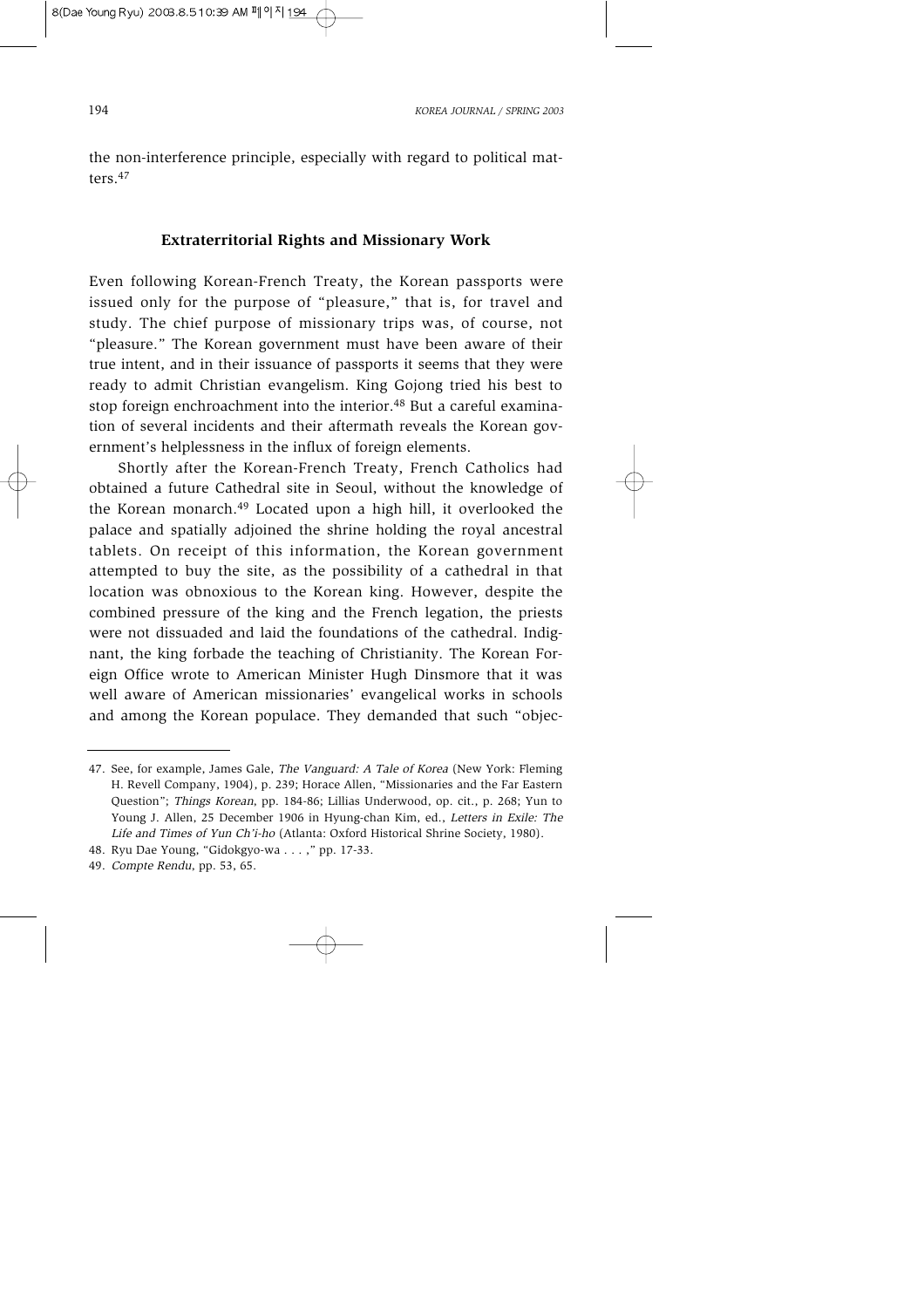the non-interference principle, especially with regard to political matters.47

# **Extraterritorial Rights and Missionary Work**

Even following Korean-French Treaty, the Korean passports were issued only for the purpose of "pleasure," that is, for travel and study. The chief purpose of missionary trips was, of course, not "pleasure." The Korean government must have been aware of their true intent, and in their issuance of passports it seems that they were ready to admit Christian evangelism. King Gojong tried his best to stop foreign enchroachment into the interior.<sup>48</sup> But a careful examination of several incidents and their aftermath reveals the Korean government's helplessness in the influx of foreign elements.

Shortly after the Korean-French Treaty, French Catholics had obtained a future Cathedral site in Seoul, without the knowledge of the Korean monarch.49 Located upon a high hill, it overlooked the palace and spatially adjoined the shrine holding the royal ancestral tablets. On receipt of this information, the Korean government attempted to buy the site, as the possibility of a cathedral in that location was obnoxious to the Korean king. However, despite the combined pressure of the king and the French legation, the priests were not dissuaded and laid the foundations of the cathedral. Indignant, the king forbade the teaching of Christianity. The Korean Foreign Office wrote to American Minister Hugh Dinsmore that it was well aware of American missionaries' evangelical works in schools and among the Korean populace. They demanded that such "objec-

<sup>47.</sup> See, for example, James Gale, The Vanguard: A Tale of Korea (New York: Fleming H. Revell Company, 1904), p. 239; Horace Allen, "Missionaries and the Far Eastern Question"; Things Korean, pp. 184-86; Lillias Underwood, op. cit., p. 268; Yun to Young J. Allen, 25 December 1906 in Hyung-chan Kim, ed., Letters in Exile: The Life and Times of Yun Ch'i-ho (Atlanta: Oxford Historical Shrine Society, 1980).

<sup>48.</sup> Ryu Dae Young, "Gidokgyo-wa . . . ," pp. 17-33.

<sup>49.</sup> Compte Rendu, pp. 53, 65.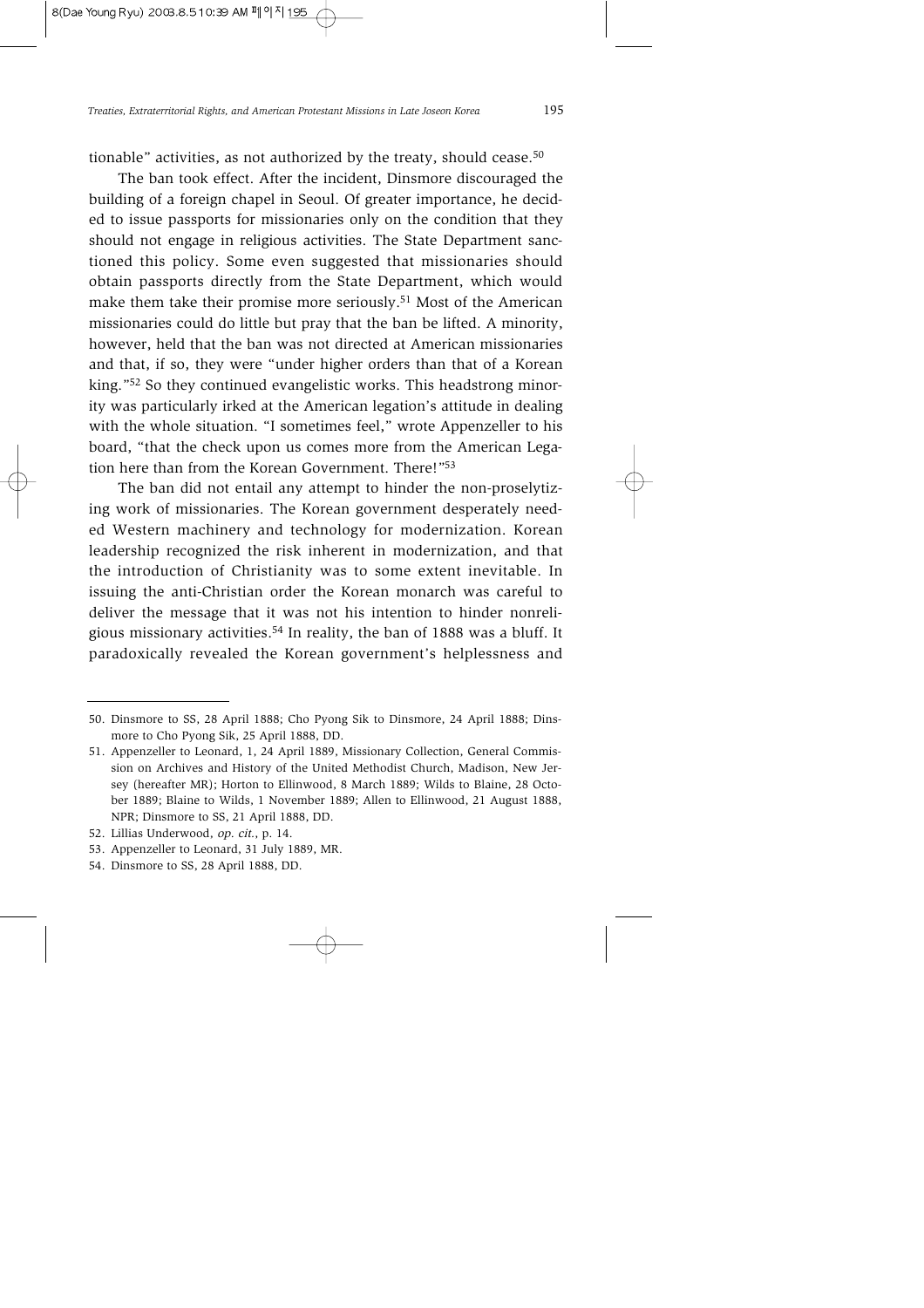tionable" activities, as not authorized by the treaty, should cease. $50$ 

The ban took effect. After the incident, Dinsmore discouraged the building of a foreign chapel in Seoul. Of greater importance, he decided to issue passports for missionaries only on the condition that they should not engage in religious activities. The State Department sanctioned this policy. Some even suggested that missionaries should obtain passports directly from the State Department, which would make them take their promise more seriously.<sup>51</sup> Most of the American missionaries could do little but pray that the ban be lifted. A minority, however, held that the ban was not directed at American missionaries and that, if so, they were "under higher orders than that of a Korean king."52 So they continued evangelistic works. This headstrong minority was particularly irked at the American legation's attitude in dealing with the whole situation. "I sometimes feel," wrote Appenzeller to his board, "that the check upon us comes more from the American Legation here than from the Korean Government. There!"<sup>53</sup>

The ban did not entail any attempt to hinder the non-proselytizing work of missionaries. The Korean government desperately needed Western machinery and technology for modernization. Korean leadership recognized the risk inherent in modernization, and that the introduction of Christianity was to some extent inevitable. In issuing the anti-Christian order the Korean monarch was careful to deliver the message that it was not his intention to hinder nonreligious missionary activities.<sup>54</sup> In reality, the ban of 1888 was a bluff. It paradoxically revealed the Korean government's helplessness and

<sup>50.</sup> Dinsmore to SS, 28 April 1888; Cho Pyong Sik to Dinsmore, 24 April 1888; Dinsmore to Cho Pyong Sik, 25 April 1888, DD.

<sup>51.</sup> Appenzeller to Leonard, 1, 24 April 1889, Missionary Collection, General Commission on Archives and History of the United Methodist Church, Madison, New Jersey (hereafter MR); Horton to Ellinwood, 8 March 1889; Wilds to Blaine, 28 October 1889; Blaine to Wilds, 1 November 1889; Allen to Ellinwood, 21 August 1888, NPR; Dinsmore to SS, 21 April 1888, DD.

<sup>52.</sup> Lillias Underwood, op. cit., p. 14.

<sup>53.</sup> Appenzeller to Leonard, 31 July 1889, MR.

<sup>54.</sup> Dinsmore to SS, 28 April 1888, DD.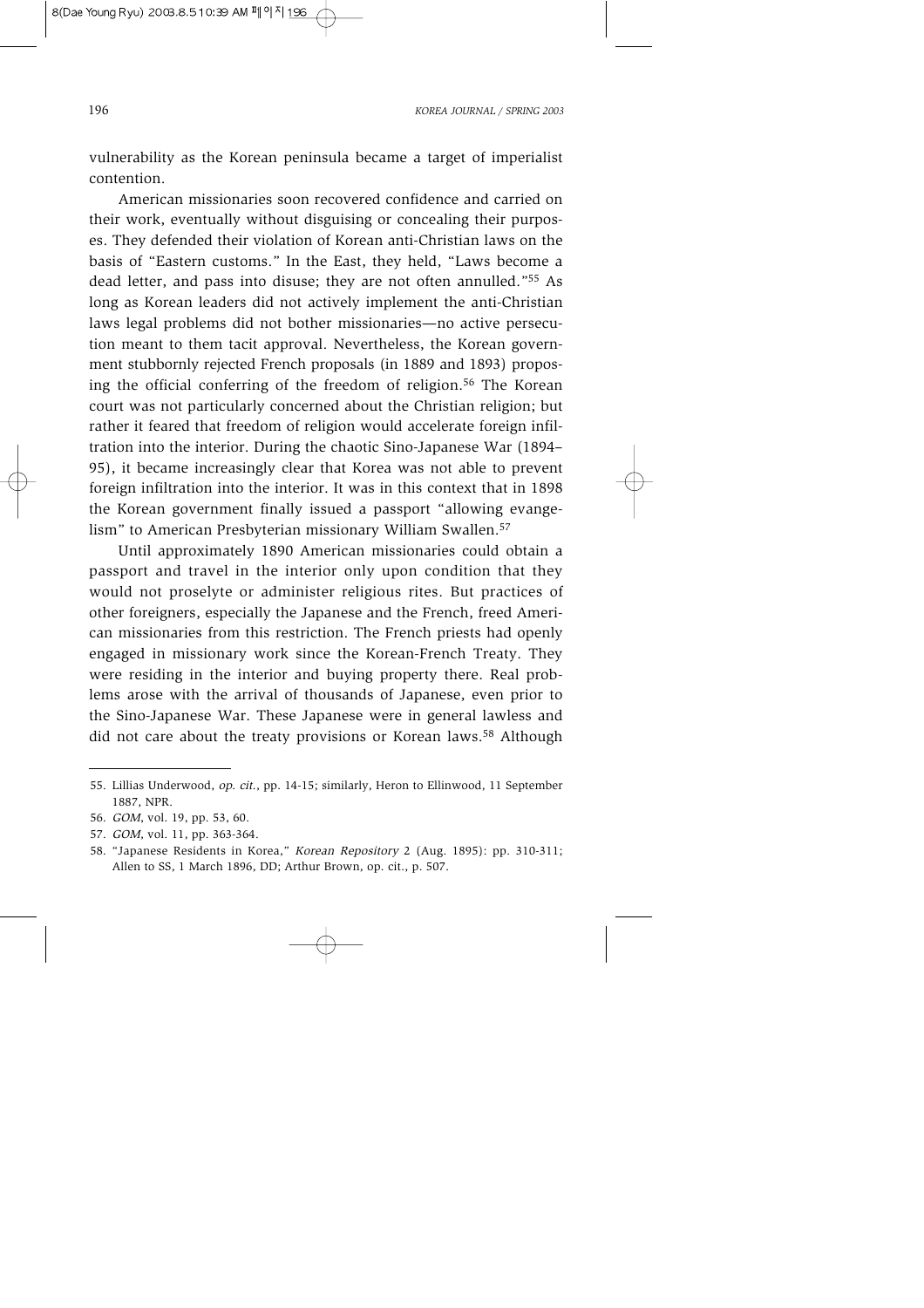vulnerability as the Korean peninsula became a target of imperialist contention.

American missionaries soon recovered confidence and carried on their work, eventually without disguising or concealing their purposes. They defended their violation of Korean anti-Christian laws on the basis of "Eastern customs." In the East, they held, "Laws become a dead letter, and pass into disuse; they are not often annulled."55 As long as Korean leaders did not actively implement the anti-Christian laws legal problems did not bother missionaries—no active persecution meant to them tacit approval. Nevertheless, the Korean government stubbornly rejected French proposals (in 1889 and 1893) proposing the official conferring of the freedom of religion.<sup>56</sup> The Korean court was not particularly concerned about the Christian religion; but rather it feared that freedom of religion would accelerate foreign infiltration into the interior. During the chaotic Sino-Japanese War (1894– 95), it became increasingly clear that Korea was not able to prevent foreign infiltration into the interior. It was in this context that in 1898 the Korean government finally issued a passport "allowing evangelism" to American Presbyterian missionary William Swallen.57

Until approximately 1890 American missionaries could obtain a passport and travel in the interior only upon condition that they would not proselyte or administer religious rites. But practices of other foreigners, especially the Japanese and the French, freed American missionaries from this restriction. The French priests had openly engaged in missionary work since the Korean-French Treaty. They were residing in the interior and buying property there. Real problems arose with the arrival of thousands of Japanese, even prior to the Sino-Japanese War. These Japanese were in general lawless and did not care about the treaty provisions or Korean laws.<sup>58</sup> Although

<sup>55.</sup> Lillias Underwood, op. cit., pp. 14-15; similarly, Heron to Ellinwood, 11 September 1887, NPR.

<sup>56.</sup> GOM, vol. 19, pp. 53, 60.

<sup>57.</sup> GOM, vol. 11, pp. 363-364.

<sup>58. &</sup>quot;Japanese Residents in Korea," Korean Repository 2 (Aug. 1895): pp. 310-311; Allen to SS, 1 March 1896, DD; Arthur Brown, op. cit., p. 507.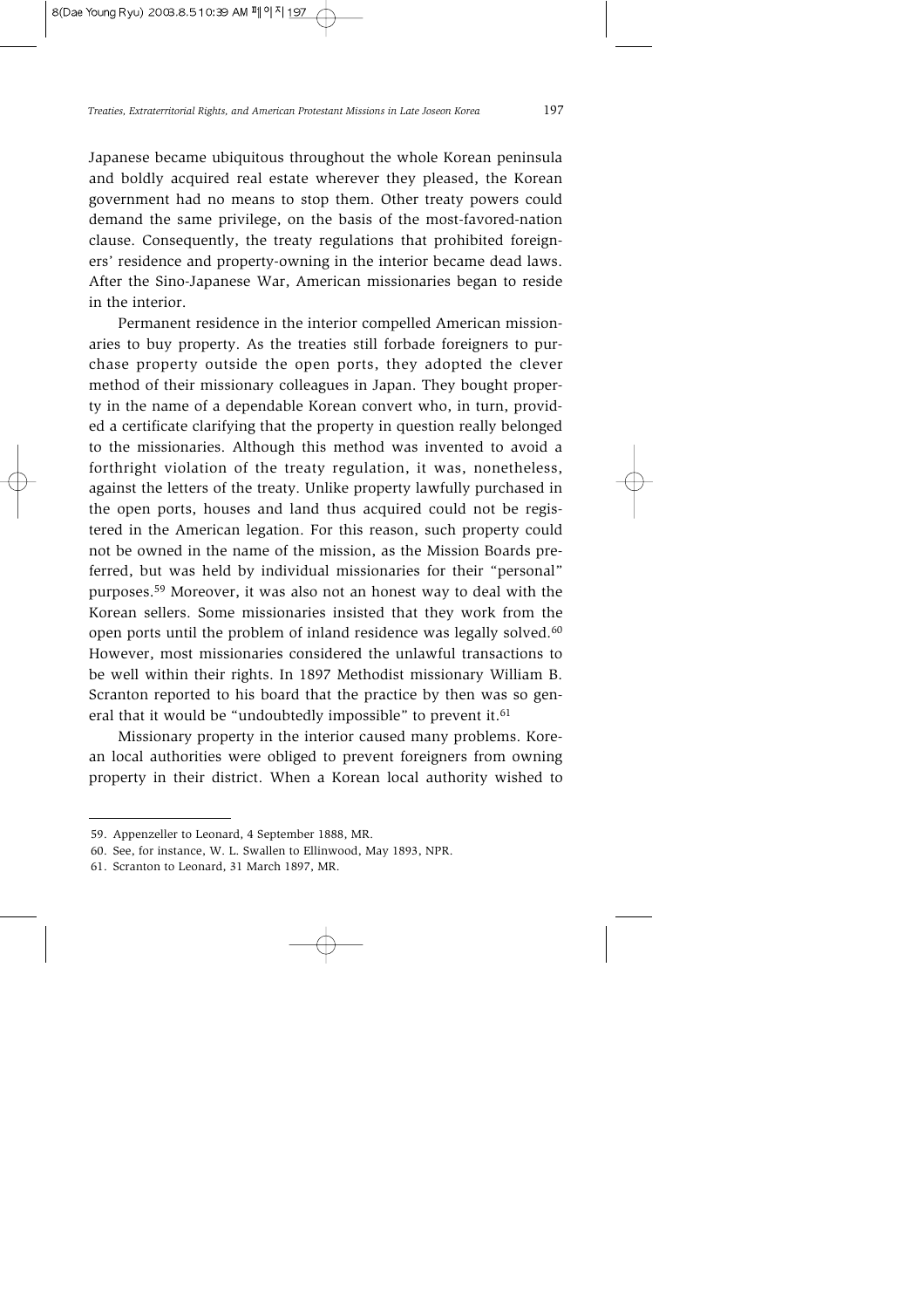Japanese became ubiquitous throughout the whole Korean peninsula and boldly acquired real estate wherever they pleased, the Korean government had no means to stop them. Other treaty powers could demand the same privilege, on the basis of the most-favored-nation clause. Consequently, the treaty regulations that prohibited foreigners' residence and property-owning in the interior became dead laws. After the Sino-Japanese War, American missionaries began to reside in the interior.

Permanent residence in the interior compelled American missionaries to buy property. As the treaties still forbade foreigners to purchase property outside the open ports, they adopted the clever method of their missionary colleagues in Japan. They bought property in the name of a dependable Korean convert who, in turn, provided a certificate clarifying that the property in question really belonged to the missionaries. Although this method was invented to avoid a forthright violation of the treaty regulation, it was, nonetheless, against the letters of the treaty. Unlike property lawfully purchased in the open ports, houses and land thus acquired could not be registered in the American legation. For this reason, such property could not be owned in the name of the mission, as the Mission Boards preferred, but was held by individual missionaries for their "personal" purposes.59 Moreover, it was also not an honest way to deal with the Korean sellers. Some missionaries insisted that they work from the open ports until the problem of inland residence was legally solved.<sup>60</sup> However, most missionaries considered the unlawful transactions to be well within their rights. In 1897 Methodist missionary William B. Scranton reported to his board that the practice by then was so general that it would be "undoubtedly impossible" to prevent it.<sup>61</sup>

Missionary property in the interior caused many problems. Korean local authorities were obliged to prevent foreigners from owning property in their district. When a Korean local authority wished to

<sup>59.</sup> Appenzeller to Leonard, 4 September 1888, MR.

<sup>60.</sup> See, for instance, W. L. Swallen to Ellinwood, May 1893, NPR.

<sup>61.</sup> Scranton to Leonard, 31 March 1897, MR.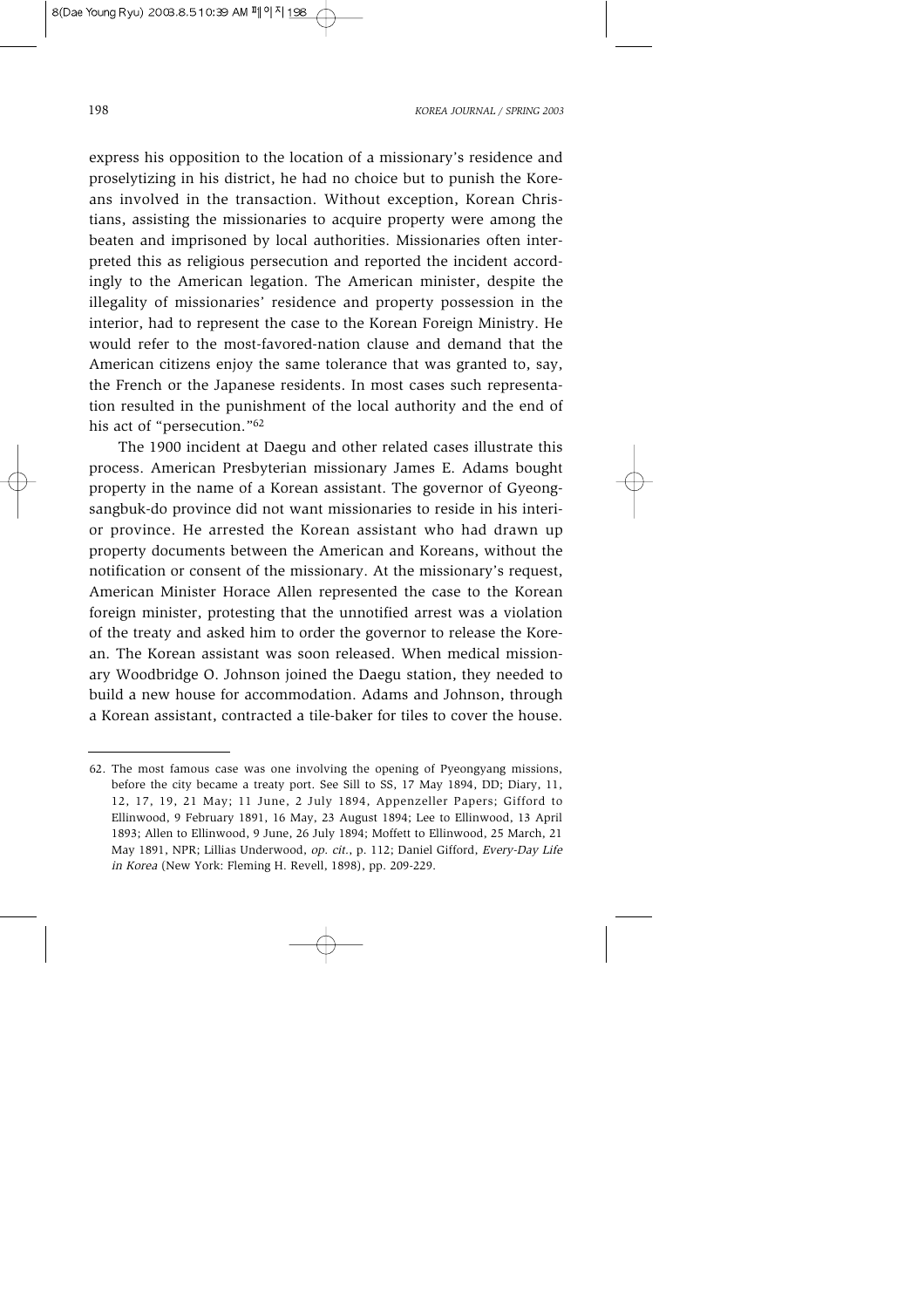express his opposition to the location of a missionary's residence and proselytizing in his district, he had no choice but to punish the Koreans involved in the transaction. Without exception, Korean Christians, assisting the missionaries to acquire property were among the beaten and imprisoned by local authorities. Missionaries often interpreted this as religious persecution and reported the incident accordingly to the American legation. The American minister, despite the illegality of missionaries' residence and property possession in the interior, had to represent the case to the Korean Foreign Ministry. He would refer to the most-favored-nation clause and demand that the American citizens enjoy the same tolerance that was granted to, say, the French or the Japanese residents. In most cases such representation resulted in the punishment of the local authority and the end of his act of "persecution."<sup>62</sup>

The 1900 incident at Daegu and other related cases illustrate this process. American Presbyterian missionary James E. Adams bought property in the name of a Korean assistant. The governor of Gyeongsangbuk-do province did not want missionaries to reside in his interior province. He arrested the Korean assistant who had drawn up property documents between the American and Koreans, without the notification or consent of the missionary. At the missionary's request, American Minister Horace Allen represented the case to the Korean foreign minister, protesting that the unnotified arrest was a violation of the treaty and asked him to order the governor to release the Korean. The Korean assistant was soon released. When medical missionary Woodbridge O. Johnson joined the Daegu station, they needed to build a new house for accommodation. Adams and Johnson, through a Korean assistant, contracted a tile-baker for tiles to cover the house.

<sup>62.</sup> The most famous case was one involving the opening of Pyeongyang missions, before the city became a treaty port. See Sill to SS, 17 May 1894, DD; Diary, 11, 12, 17, 19, 21 May; 11 June, 2 July 1894, Appenzeller Papers; Gifford to Ellinwood, 9 February 1891, 16 May, 23 August 1894; Lee to Ellinwood, 13 April 1893; Allen to Ellinwood, 9 June, 26 July 1894; Moffett to Ellinwood, 25 March, 21 May 1891, NPR; Lillias Underwood, op. cit., p. 112; Daniel Gifford, Every-Day Life in Korea (New York: Fleming H. Revell, 1898), pp. 209-229.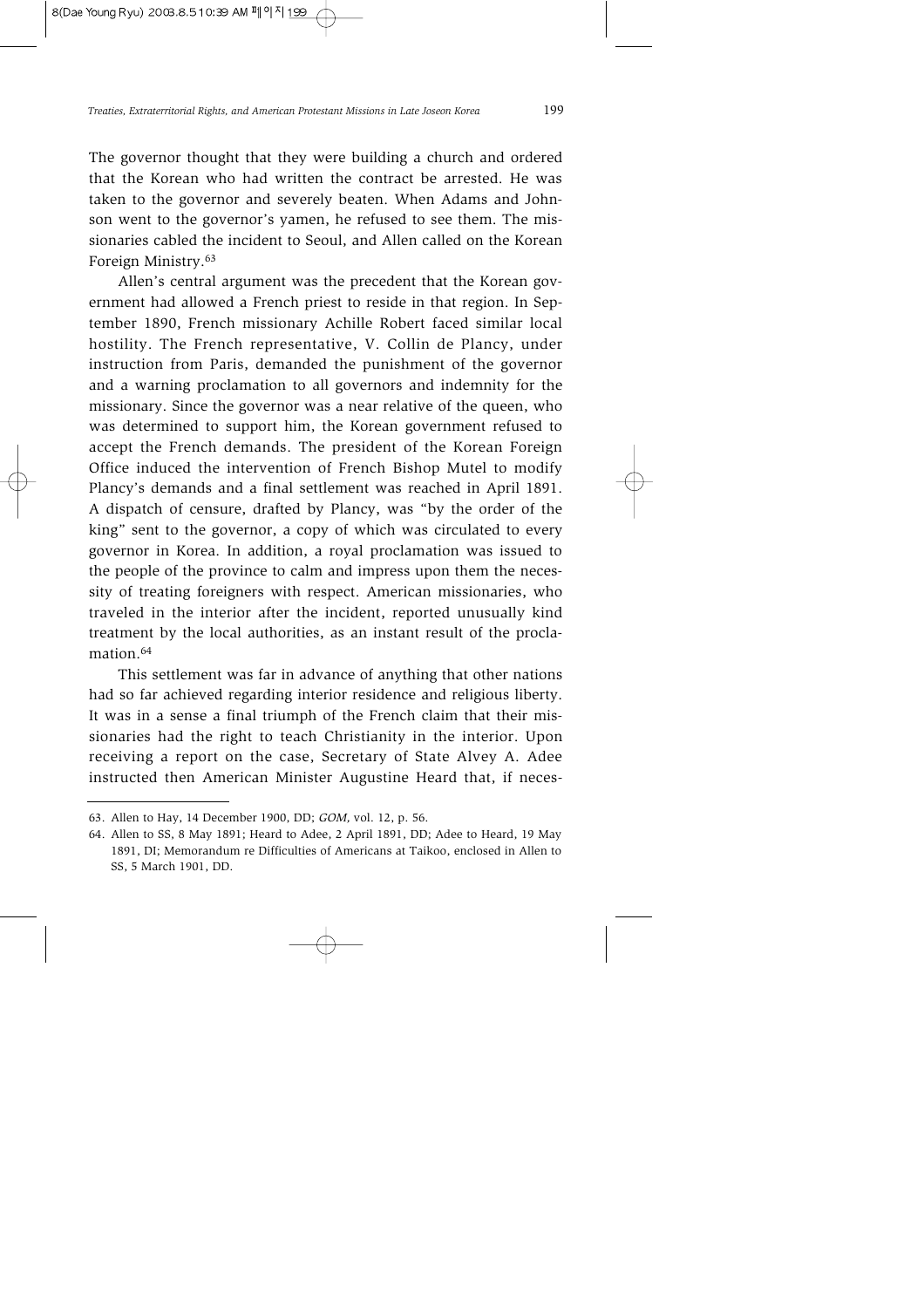The governor thought that they were building a church and ordered that the Korean who had written the contract be arrested. He was taken to the governor and severely beaten. When Adams and Johnson went to the governor's yamen, he refused to see them. The missionaries cabled the incident to Seoul, and Allen called on the Korean Foreign Ministry.63

Allen's central argument was the precedent that the Korean government had allowed a French priest to reside in that region. In September 1890, French missionary Achille Robert faced similar local hostility. The French representative, V. Collin de Plancy, under instruction from Paris, demanded the punishment of the governor and a warning proclamation to all governors and indemnity for the missionary. Since the governor was a near relative of the queen, who was determined to support him, the Korean government refused to accept the French demands. The president of the Korean Foreign Office induced the intervention of French Bishop Mutel to modify Plancy's demands and a final settlement was reached in April 1891. A dispatch of censure, drafted by Plancy, was "by the order of the king" sent to the governor, a copy of which was circulated to every governor in Korea. In addition, a royal proclamation was issued to the people of the province to calm and impress upon them the necessity of treating foreigners with respect. American missionaries, who traveled in the interior after the incident, reported unusually kind treatment by the local authorities, as an instant result of the proclamation  $64$ 

This settlement was far in advance of anything that other nations had so far achieved regarding interior residence and religious liberty. It was in a sense a final triumph of the French claim that their missionaries had the right to teach Christianity in the interior. Upon receiving a report on the case, Secretary of State Alvey A. Adee instructed then American Minister Augustine Heard that, if neces-

<sup>63.</sup> Allen to Hay, 14 December 1900, DD; GOM, vol. 12, p. 56.

<sup>64.</sup> Allen to SS, 8 May 1891; Heard to Adee, 2 April 1891, DD; Adee to Heard, 19 May 1891, DI; Memorandum re Difficulties of Americans at Taikoo, enclosed in Allen to SS, 5 March 1901, DD.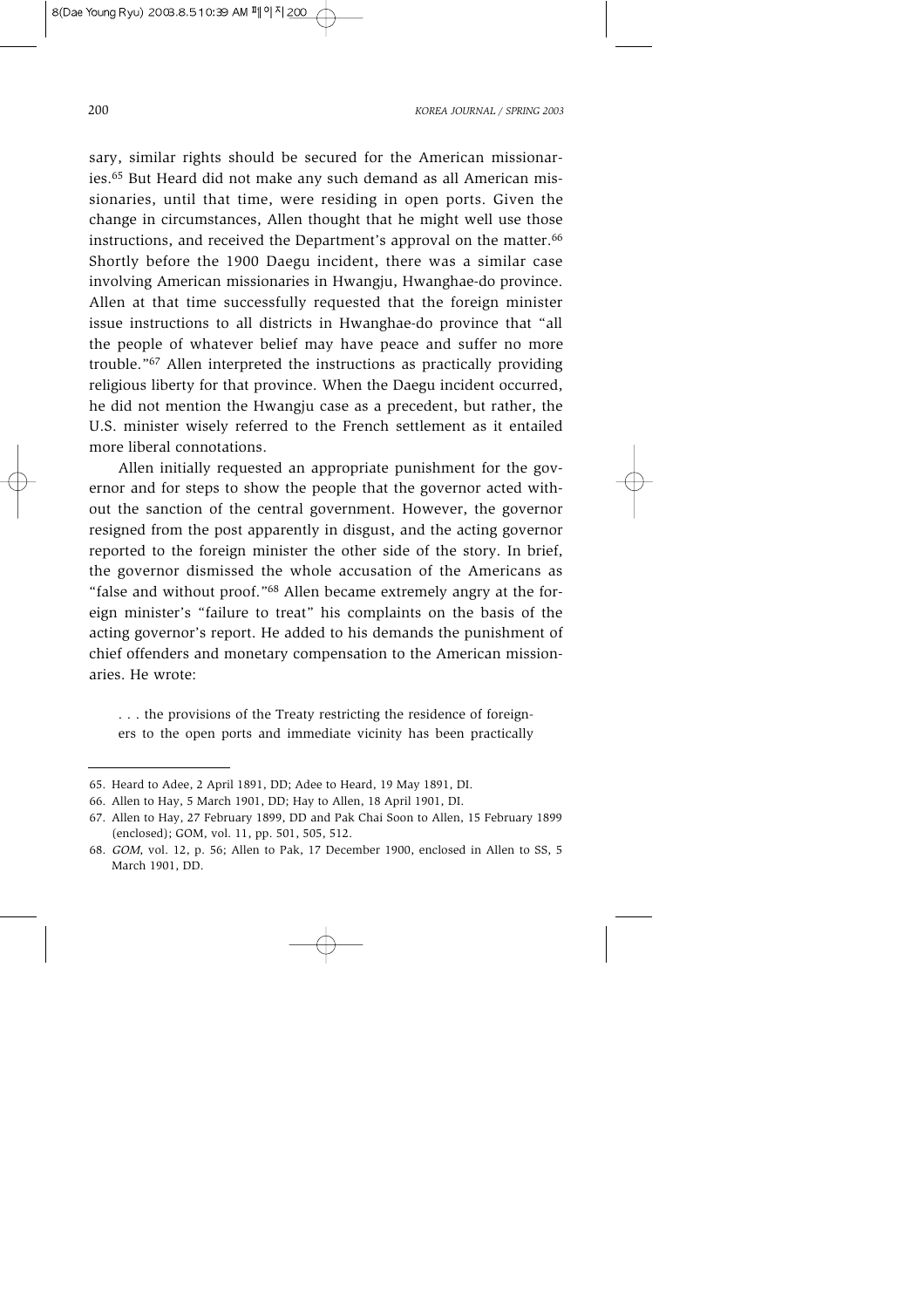sary, similar rights should be secured for the American missionaries.65 But Heard did not make any such demand as all American missionaries, until that time, were residing in open ports. Given the change in circumstances, Allen thought that he might well use those instructions, and received the Department's approval on the matter.<sup>66</sup> Shortly before the 1900 Daegu incident, there was a similar case involving American missionaries in Hwangju, Hwanghae-do province. Allen at that time successfully requested that the foreign minister issue instructions to all districts in Hwanghae-do province that "all the people of whatever belief may have peace and suffer no more trouble."67 Allen interpreted the instructions as practically providing religious liberty for that province. When the Daegu incident occurred, he did not mention the Hwangju case as a precedent, but rather, the U.S. minister wisely referred to the French settlement as it entailed more liberal connotations.

Allen initially requested an appropriate punishment for the governor and for steps to show the people that the governor acted without the sanction of the central government. However, the governor resigned from the post apparently in disgust, and the acting governor reported to the foreign minister the other side of the story. In brief, the governor dismissed the whole accusation of the Americans as "false and without proof."68 Allen became extremely angry at the foreign minister's "failure to treat" his complaints on the basis of the acting governor's report. He added to his demands the punishment of chief offenders and monetary compensation to the American missionaries. He wrote:

. . . the provisions of the Treaty restricting the residence of foreigners to the open ports and immediate vicinity has been practically

<sup>65.</sup> Heard to Adee, 2 April 1891, DD; Adee to Heard, 19 May 1891, DI.

<sup>66.</sup> Allen to Hay, 5 March 1901, DD; Hay to Allen, 18 April 1901, DI.

<sup>67.</sup> Allen to Hay, 27 February 1899, DD and Pak Chai Soon to Allen, 15 February 1899 (enclosed); GOM, vol. 11, pp. 501, 505, 512.

<sup>68.</sup> GOM, vol. 12, p. 56; Allen to Pak, 17 December 1900, enclosed in Allen to SS, 5 March 1901, DD.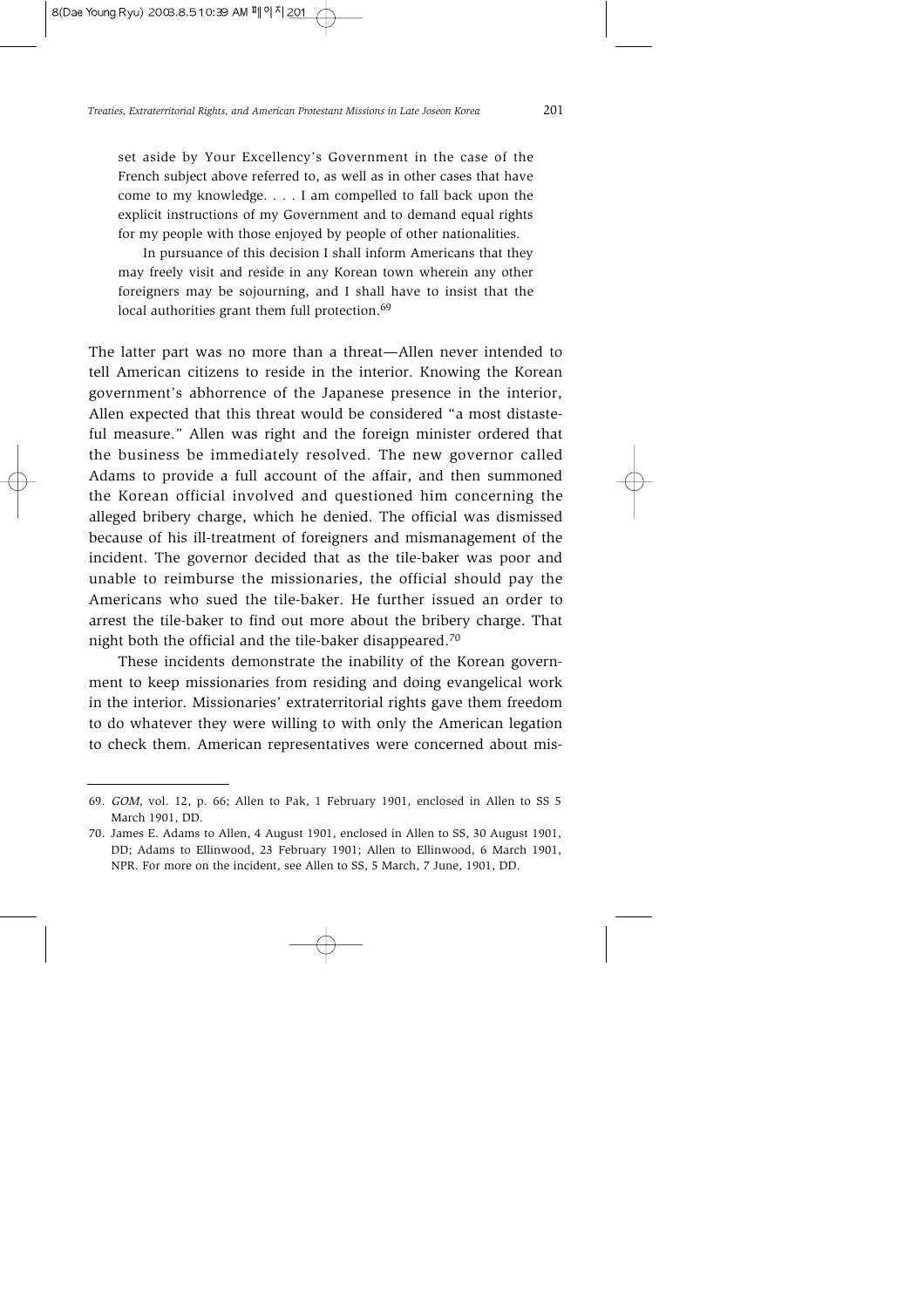set aside by Your Excellency's Government in the case of the French subject above referred to, as well as in other cases that have come to my knowledge. . . . I am compelled to fall back upon the explicit instructions of my Government and to demand equal rights for my people with those enjoyed by people of other nationalities.

In pursuance of this decision I shall inform Americans that they may freely visit and reside in any Korean town wherein any other foreigners may be sojourning, and I shall have to insist that the local authorities grant them full protection.<sup>69</sup>

The latter part was no more than a threat—Allen never intended to tell American citizens to reside in the interior. Knowing the Korean government's abhorrence of the Japanese presence in the interior, Allen expected that this threat would be considered "a most distasteful measure." Allen was right and the foreign minister ordered that the business be immediately resolved. The new governor called Adams to provide a full account of the affair, and then summoned the Korean official involved and questioned him concerning the alleged bribery charge, which he denied. The official was dismissed because of his ill-treatment of foreigners and mismanagement of the incident. The governor decided that as the tile-baker was poor and unable to reimburse the missionaries, the official should pay the Americans who sued the tile-baker. He further issued an order to arrest the tile-baker to find out more about the bribery charge. That night both the official and the tile-baker disappeared.70

These incidents demonstrate the inability of the Korean government to keep missionaries from residing and doing evangelical work in the interior. Missionaries' extraterritorial rights gave them freedom to do whatever they were willing to with only the American legation to check them. American representatives were concerned about mis-

<sup>69.</sup> GOM, vol. 12, p. 66; Allen to Pak, 1 February 1901, enclosed in Allen to SS 5 March 1901, DD.

<sup>70.</sup> James E. Adams to Allen, 4 August 1901, enclosed in Allen to SS, 30 August 1901, DD; Adams to Ellinwood, 23 February 1901; Allen to Ellinwood, 6 March 1901, NPR. For more on the incident, see Allen to SS, 5 March, 7 June, 1901, DD.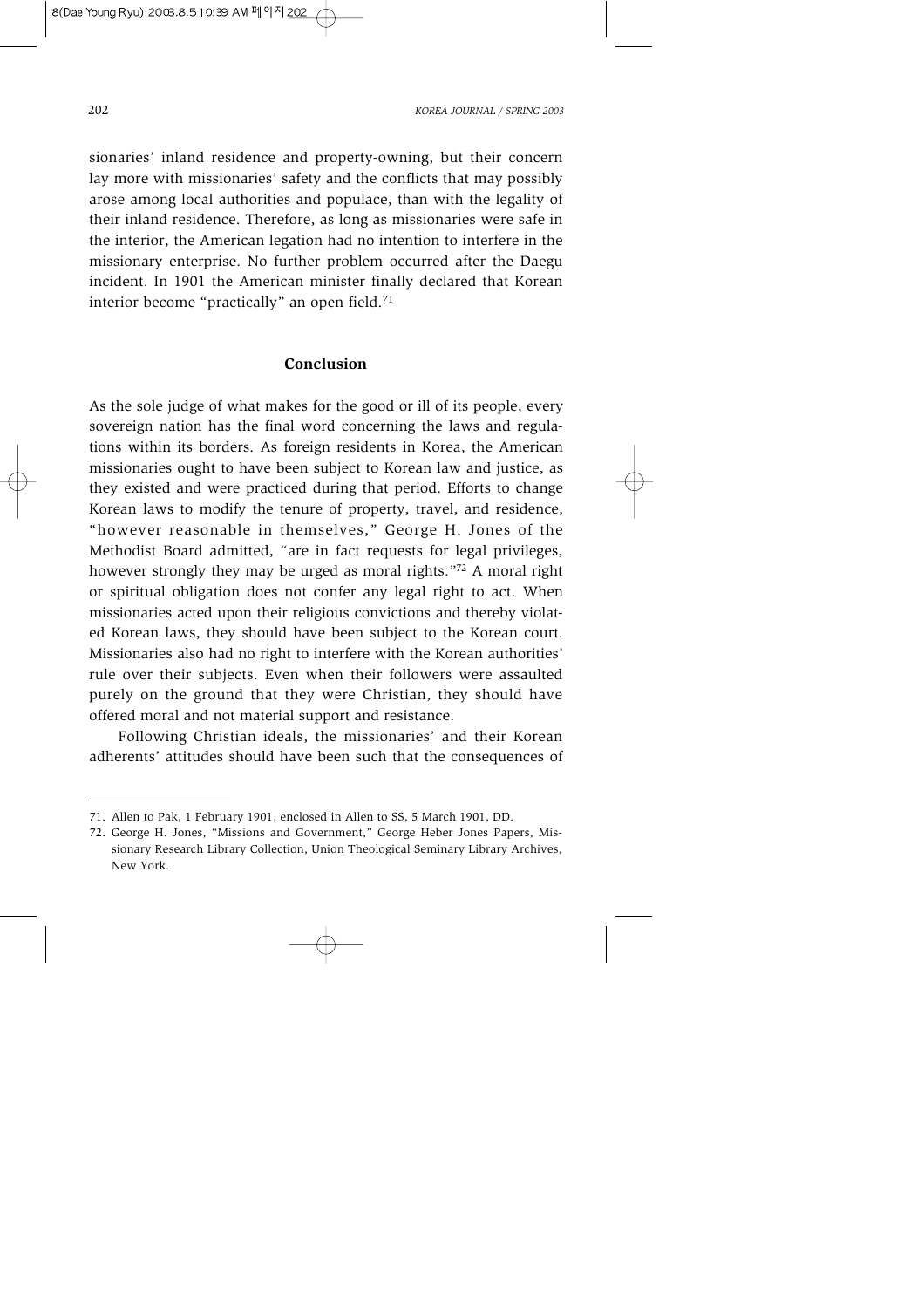sionaries' inland residence and property-owning, but their concern lay more with missionaries' safety and the conflicts that may possibly arose among local authorities and populace, than with the legality of their inland residence. Therefore, as long as missionaries were safe in the interior, the American legation had no intention to interfere in the missionary enterprise. No further problem occurred after the Daegu incident. In 1901 the American minister finally declared that Korean interior become "practically" an open field.<sup>71</sup>

# **Conclusion**

As the sole judge of what makes for the good or ill of its people, every sovereign nation has the final word concerning the laws and regulations within its borders. As foreign residents in Korea, the American missionaries ought to have been subject to Korean law and justice, as they existed and were practiced during that period. Efforts to change Korean laws to modify the tenure of property, travel, and residence, "however reasonable in themselves," George H. Jones of the Methodist Board admitted, "are in fact requests for legal privileges, however strongly they may be urged as moral rights."<sup>72</sup> A moral right or spiritual obligation does not confer any legal right to act. When missionaries acted upon their religious convictions and thereby violated Korean laws, they should have been subject to the Korean court. Missionaries also had no right to interfere with the Korean authorities' rule over their subjects. Even when their followers were assaulted purely on the ground that they were Christian, they should have offered moral and not material support and resistance.

Following Christian ideals, the missionaries' and their Korean adherents' attitudes should have been such that the consequences of

<sup>71.</sup> Allen to Pak, 1 February 1901, enclosed in Allen to SS, 5 March 1901, DD.

<sup>72.</sup> George H. Jones, "Missions and Government," George Heber Jones Papers, Missionary Research Library Collection, Union Theological Seminary Library Archives, New York.